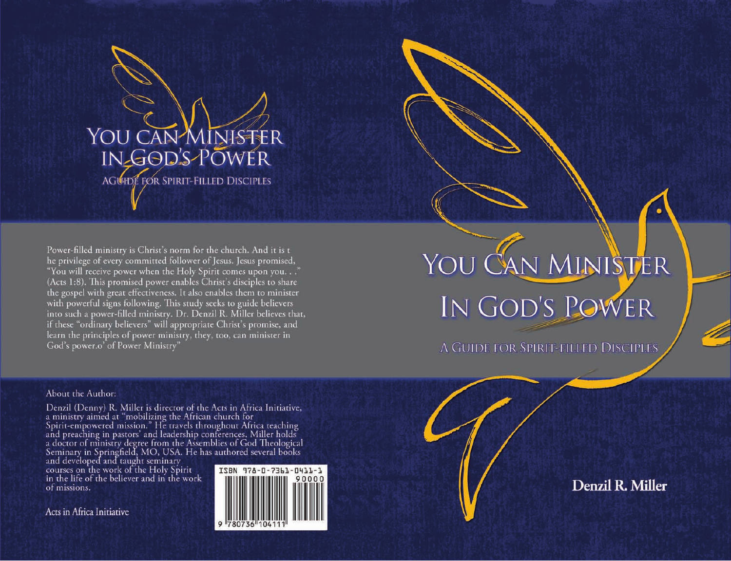# YOU CAN MINISTER IN GOD'S POWER

A GUIDE FOR SPIRIT-FILLED DISCIPLES

Denzil R. Miller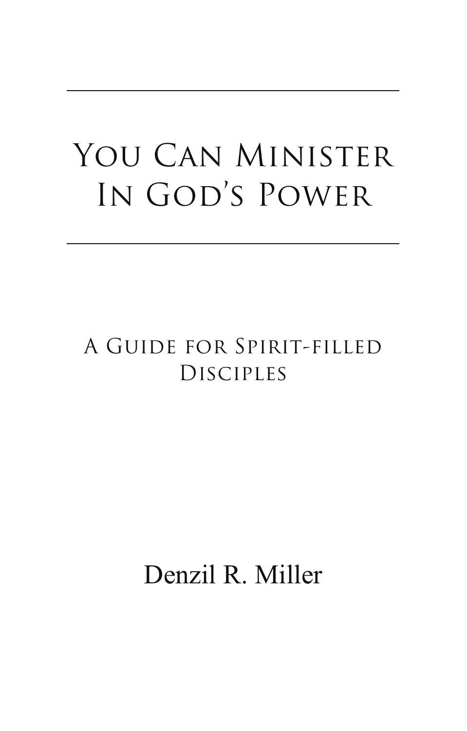## YOU CAN MINISTER IN GOD'S POWER

### A Guide for Spirit-filled Disciples

Denzil R. Miller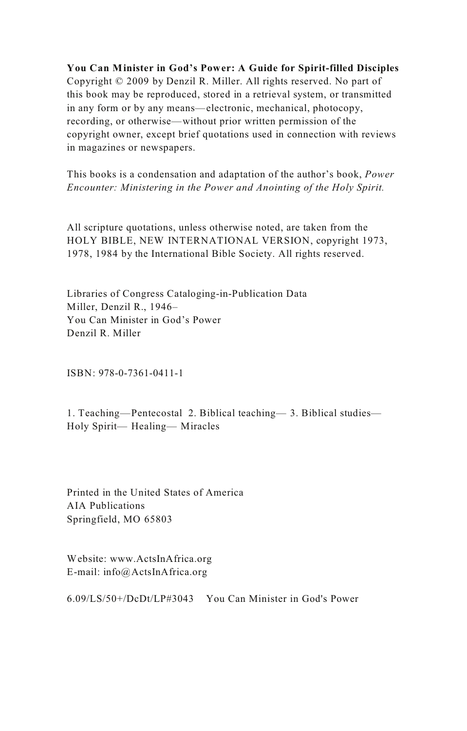**You Can Minister in God's Power: A Guide for Spirit-filled Disciples** Copyright  $\odot$  2009 by Denzil R. Miller. All rights reserved. No part of this book may be reproduced, stored in a retrieval system, or transmitted in any form or by any means—electronic, mechanical, photocopy. recording, or otherwise—without prior written permission of the copyright owner, except brief quotations used in connection with reviews in magazines or newspapers.

This books is a condensation and adaptation of the author's book, Power *Encounter: Ministering in the Power and Anointing of the Holy Spirit.*

All scripture quotations, unless otherwise noted, are taken from the HOLY BIBLE, NEW INTERNATIONAL VERSION, copyright 1973. 1978, 1984 by the International Bible Society. All rights reserved.

Libraries of Congress Cataloging-in-Publication Data Miller, Denzil R., 1946-You Can Minister in God's Power Denzil R. Miller

 $ISBN: 978-0-7361-0411-1$ 

1. Teaching—Pentecostal 2. Biblical teaching— 3. Biblical studies— Holy Spirit— Healing— Miracles

Printed in the United States of America AIA Publications Springfield, MO 65803

Website: www.ActsInAfrica.org  $E$ -mail: info@ActsInAfrica.org

6.09/LS/50+/DcDt/LP#3043 You Can Minister in God's Power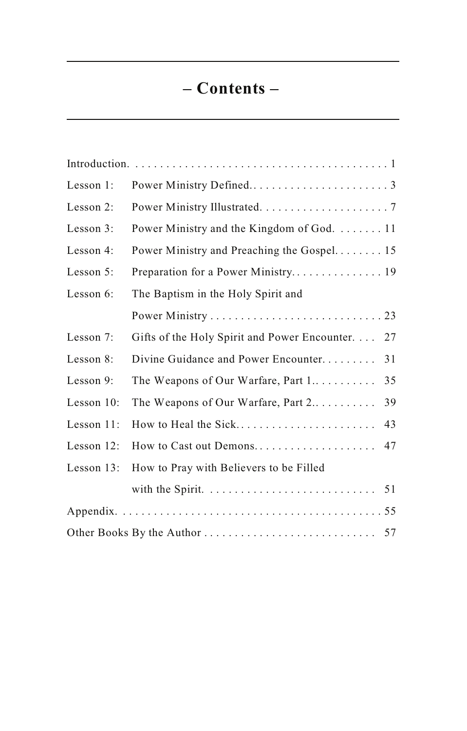### **– Contents –**

| Lesson 1:     |                                                     |  |  |
|---------------|-----------------------------------------------------|--|--|
| Lesson 2:     |                                                     |  |  |
| Lesson 3:     | Power Ministry and the Kingdom of God.  11          |  |  |
| Lesson 4:     | Power Ministry and Preaching the Gospel 15          |  |  |
| Lesson 5:     |                                                     |  |  |
| Lesson 6:     | The Baptism in the Holy Spirit and                  |  |  |
|               |                                                     |  |  |
| Lesson 7:     | Gifts of the Holy Spirit and Power Encounter.<br>27 |  |  |
| Lesson 8:     | Divine Guidance and Power Encounter<br>31           |  |  |
| Lesson 9:     | The Weapons of Our Warfare, Part 1<br>35            |  |  |
| Lesson $10$ : | The Weapons of Our Warfare, Part 2<br>39            |  |  |
| Lesson 11:    | How to Heal the Sick<br>43                          |  |  |
| Lesson 12:    | How to Cast out Demons<br>47                        |  |  |
| Lesson 13:    | How to Pray with Believers to be Filled             |  |  |
|               | 51                                                  |  |  |
|               |                                                     |  |  |
|               |                                                     |  |  |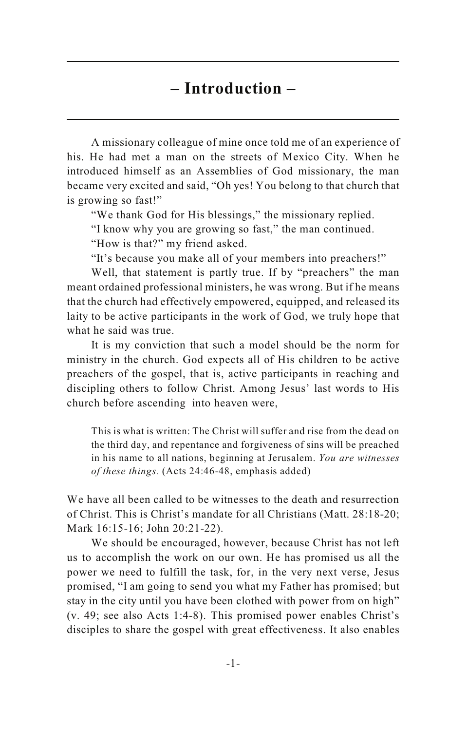### **– Introduction –**

A missionary colleague of mine once told me of an experience of his. He had met a man on the streets of Mexico City. When he introduced himself as an Assemblies of God missionary, the man became very excited and said, "Oh yes! You belong to that church that is growing so fast!"

"We thank God for His blessings," the missionary replied.

"I know why you are growing so fast," the man continued.

"How is that?" my friend asked.

"It's because you make all of your members into preachers!"

Well, that statement is partly true. If by "preachers" the man meant ordained professional ministers, he was wrong. But if he means that the church had effectively empowered, equipped, and released its laity to be active participants in the work of God, we truly hope that what he said was true.

It is my conviction that such a model should be the norm for ministry in the church. God expects all of His children to be active preachers of the gospel, that is, active participants in reaching and discipling others to follow Christ. Among Jesus' last words to His church before ascending into heaven were,

This is what is written: The Christ will suffer and rise from the dead on the third day, and repentance and forgiveness of sins will be preached in his name to all nations, beginning at Jerusalem. *You are witnesses of these things.* (Acts 24:46-48, emphasis added)

We have all been called to be witnesses to the death and resurrection of Christ. This is Christ's mandate for all Christians (Matt. 28:18-20; Mark 16:15-16; John 20:21-22).

We should be encouraged, however, because Christ has not left us to accomplish the work on our own. He has promised us all the power we need to fulfill the task, for, in the very next verse, Jesus promised, "I am going to send you what my Father has promised; but stay in the city until you have been clothed with power from on high" (v. 49; see also Acts 1:4-8). This promised power enables Christ's disciples to share the gospel with great effectiveness. It also enables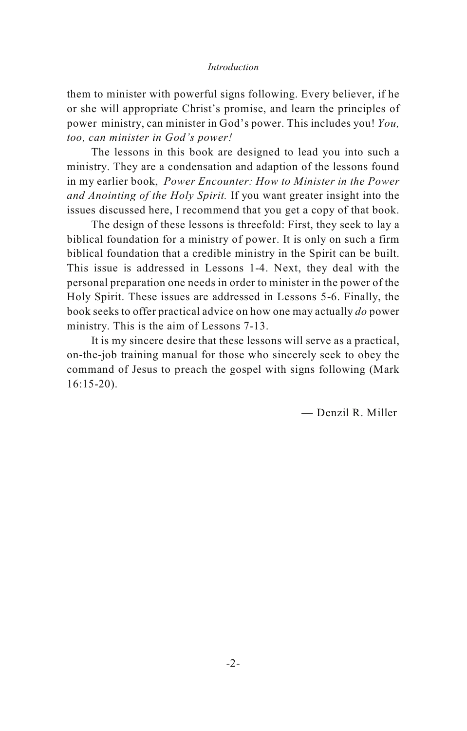#### *Introduction*

them to minister with powerful signs following. Every believer, if he or she will appropriate Christ's promise, and learn the principles of power ministry, can minister in God's power. This includes you! *You, too, can minister in God's power!*

The lessons in this book are designed to lead you into such a ministry. They are a condensation and adaption of the lessons found in my earlier book, *Power Encounter: How to Minister in the Power and Anointing of the Holy Spirit.* If you want greater insight into the issues discussed here, I recommend that you get a copy of that book.

The design of these lessons is threefold: First, they seek to lay a biblical foundation for a ministry of power. It is only on such a firm biblical foundation that a credible ministry in the Spirit can be built. This issue is addressed in Lessons 1-4. Next, they deal with the personal preparation one needs in order to minister in the power of the Holy Spirit. These issues are addressed in Lessons 5-6. Finally, the book seeks to offer practical advice on how one may actually *do* power ministry. This is the aim of Lessons 7-13.

It is my sincere desire that these lessons will serve as a practical, on-the-job training manual for those who sincerely seek to obey the command of Jesus to preach the gospel with signs following (Mark 16:15-20).

— Denzil R. Miller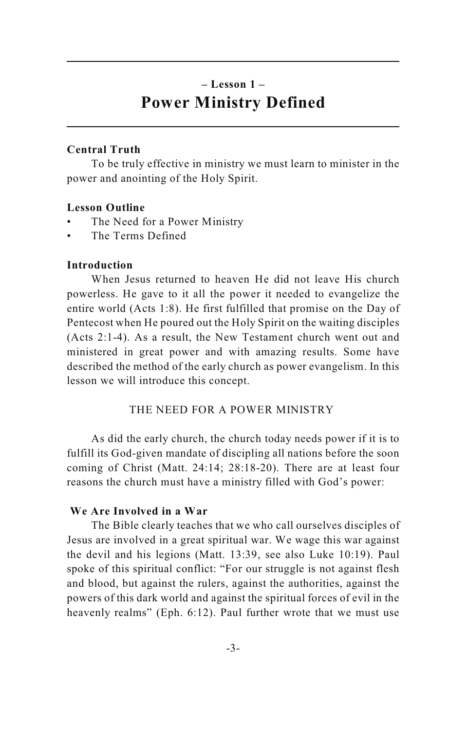### **– Lesson 1 – Power Ministry Defined**

### **Central Truth**

To be truly effective in ministry we must learn to minister in the power and anointing of the Holy Spirit.

### **Lesson Outline**

- The Need for a Power Ministry
- The Terms Defined

### **Introduction**

When Jesus returned to heaven He did not leave His church powerless. He gave to it all the power it needed to evangelize the entire world (Acts 1:8). He first fulfilled that promise on the Day of Pentecost when He poured out the Holy Spirit on the waiting disciples (Acts 2:1-4). As a result, the New Testament church went out and ministered in great power and with amazing results. Some have described the method of the early church as power evangelism. In this lesson we will introduce this concept.

### THE NEED FOR A POWER MINISTRY

As did the early church, the church today needs power if it is to fulfill its God-given mandate of discipling all nations before the soon coming of Christ (Matt. 24:14; 28:18-20). There are at least four reasons the church must have a ministry filled with God's power:

### **We Are Involved in a War**

The Bible clearly teaches that we who call ourselves disciples of Jesus are involved in a great spiritual war. We wage this war against the devil and his legions (Matt. 13:39, see also Luke 10:19). Paul spoke of this spiritual conflict: "For our struggle is not against flesh and blood, but against the rulers, against the authorities, against the powers of this dark world and against the spiritual forces of evil in the heavenly realms" (Eph. 6:12). Paul further wrote that we must use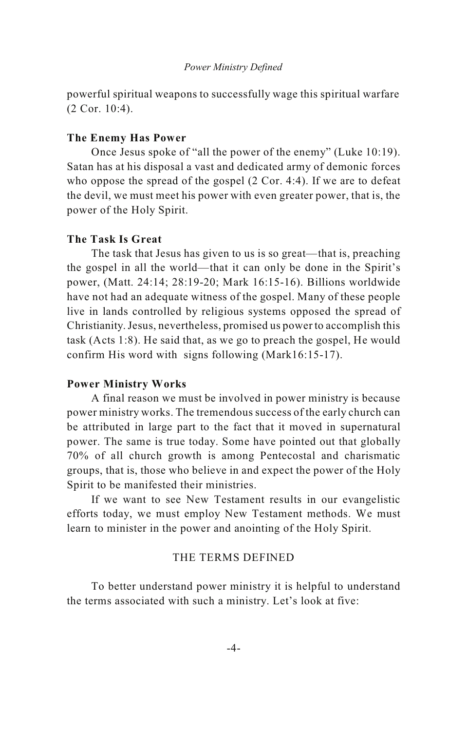powerful spiritual weapons to successfully wage this spiritual warfare (2 Cor. 10:4).

### **The Enemy Has Power**

Once Jesus spoke of "all the power of the enemy" (Luke 10:19). Satan has at his disposal a vast and dedicated army of demonic forces who oppose the spread of the gospel (2 Cor. 4:4). If we are to defeat the devil, we must meet his power with even greater power, that is, the power of the Holy Spirit.

### **The Task Is Great**

The task that Jesus has given to us is so great—that is, preaching the gospel in all the world—that it can only be done in the Spirit's power, (Matt. 24:14; 28:19-20; Mark 16:15-16). Billions worldwide have not had an adequate witness of the gospel. Many of these people live in lands controlled by religious systems opposed the spread of Christianity. Jesus, nevertheless, promised us power to accomplish this task (Acts 1:8). He said that, as we go to preach the gospel, He would confirm His word with signs following (Mark16:15-17).

### **Power Ministry Works**

A final reason we must be involved in power ministry is because power ministry works. The tremendous success of the early church can be attributed in large part to the fact that it moved in supernatural power. The same is true today. Some have pointed out that globally 70% of all church growth is among Pentecostal and charismatic groups, that is, those who believe in and expect the power of the Holy Spirit to be manifested their ministries.

If we want to see New Testament results in our evangelistic efforts today, we must employ New Testament methods. We must learn to minister in the power and anointing of the Holy Spirit.

### THE TERMS DEFINED

To better understand power ministry it is helpful to understand the terms associated with such a ministry. Let's look at five: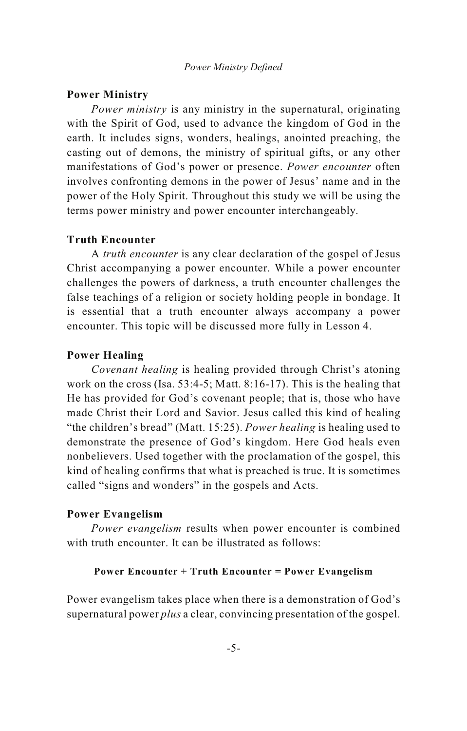### **Power Ministry**

*Power ministry* is any ministry in the supernatural, originating with the Spirit of God, used to advance the kingdom of God in the earth. It includes signs, wonders, healings, anointed preaching, the casting out of demons, the ministry of spiritual gifts, or any other manifestations of God's power or presence. *Power encounter* often involves confronting demons in the power of Jesus' name and in the power of the Holy Spirit. Throughout this study we will be using the terms power ministry and power encounter interchangeably.

### **Truth Encounter**

A *truth encounter* is any clear declaration of the gospel of Jesus Christ accompanying a power encounter. While a power encounter challenges the powers of darkness, a truth encounter challenges the false teachings of a religion or society holding people in bondage. It is essential that a truth encounter always accompany a power encounter. This topic will be discussed more fully in Lesson 4.

### **Power Healing**

*Covenant healing* is healing provided through Christ's atoning work on the cross (Isa. 53:4-5; Matt. 8:16-17). This is the healing that He has provided for God's covenant people; that is, those who have made Christ their Lord and Savior. Jesus called this kind of healing "the children's bread" (Matt. 15:25). *Power healing* is healing used to demonstrate the presence of God's kingdom. Here God heals even nonbelievers. Used together with the proclamation of the gospel, this kind of healing confirms that what is preached is true. It is sometimes called "signs and wonders" in the gospels and Acts.

### **Power Evangelism**

*Power evangelism* results when power encounter is combined with truth encounter. It can be illustrated as follows:

#### **Power Encounter + Truth Encounter = Power Evangelism**

Power evangelism takes place when there is a demonstration of God's supernatural power *plus* a clear, convincing presentation of the gospel.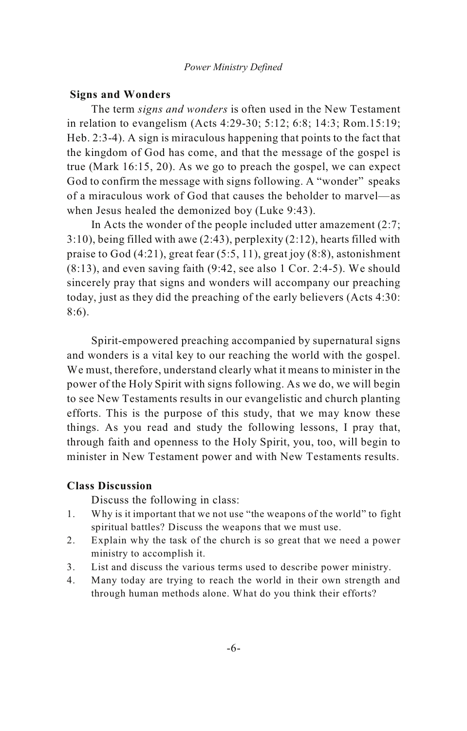### **Signs and Wonders**

The term *signs and wonders* is often used in the New Testament in relation to evangelism (Acts 4:29-30; 5:12; 6:8; 14:3; Rom.15:19; Heb. 2:3-4). A sign is miraculous happening that points to the fact that the kingdom of God has come, and that the message of the gospel is true (Mark 16:15, 20). As we go to preach the gospel, we can expect God to confirm the message with signs following. A "wonder" speaks of a miraculous work of God that causes the beholder to marvel—as when Jesus healed the demonized boy (Luke 9:43).

In Acts the wonder of the people included utter amazement (2:7; 3:10), being filled with awe (2:43), perplexity (2:12), hearts filled with praise to God (4:21), great fear (5:5, 11), great joy (8:8), astonishment (8:13), and even saving faith (9:42, see also 1 Cor. 2:4-5). We should sincerely pray that signs and wonders will accompany our preaching today, just as they did the preaching of the early believers (Acts 4:30: 8:6).

Spirit-empowered preaching accompanied by supernatural signs and wonders is a vital key to our reaching the world with the gospel. We must, therefore, understand clearly what it means to minister in the power of the Holy Spirit with signs following. As we do, we will begin to see New Testaments results in our evangelistic and church planting efforts. This is the purpose of this study, that we may know these things. As you read and study the following lessons, I pray that, through faith and openness to the Holy Spirit, you, too, will begin to minister in New Testament power and with New Testaments results.

### **Class Discussion**

- 1. Why is it important that we not use "the weapons of the world" to fight spiritual battles? Discuss the weapons that we must use.
- 2. Explain why the task of the church is so great that we need a power ministry to accomplish it.
- 3. List and discuss the various terms used to describe power ministry.
- 4. Many today are trying to reach the world in their own strength and through human methods alone. What do you think their efforts?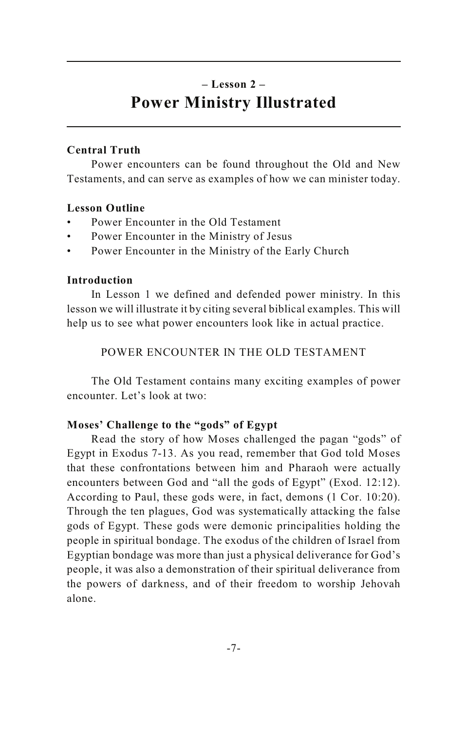### **– Lesson 2 – Power Ministry Illustrated**

### **Central Truth**

Power encounters can be found throughout the Old and New Testaments, and can serve as examples of how we can minister today.

### **Lesson Outline**

- Power Encounter in the Old Testament
- Power Encounter in the Ministry of Jesus
- Power Encounter in the Ministry of the Early Church

### **Introduction**

In Lesson 1 we defined and defended power ministry. In this lesson we will illustrate it by citing several biblical examples. This will help us to see what power encounters look like in actual practice.

POWER ENCOUNTER IN THE OLD TESTAMENT

The Old Testament contains many exciting examples of power encounter. Let's look at two:

### **Moses' Challenge to the "gods" of Egypt**

Read the story of how Moses challenged the pagan "gods" of Egypt in Exodus 7-13. As you read, remember that God told Moses that these confrontations between him and Pharaoh were actually encounters between God and "all the gods of Egypt" (Exod. 12:12). According to Paul, these gods were, in fact, demons (1 Cor. 10:20). Through the ten plagues, God was systematically attacking the false gods of Egypt. These gods were demonic principalities holding the people in spiritual bondage. The exodus of the children of Israel from Egyptian bondage was more than just a physical deliverance for God's people, it was also a demonstration of their spiritual deliverance from the powers of darkness, and of their freedom to worship Jehovah alone.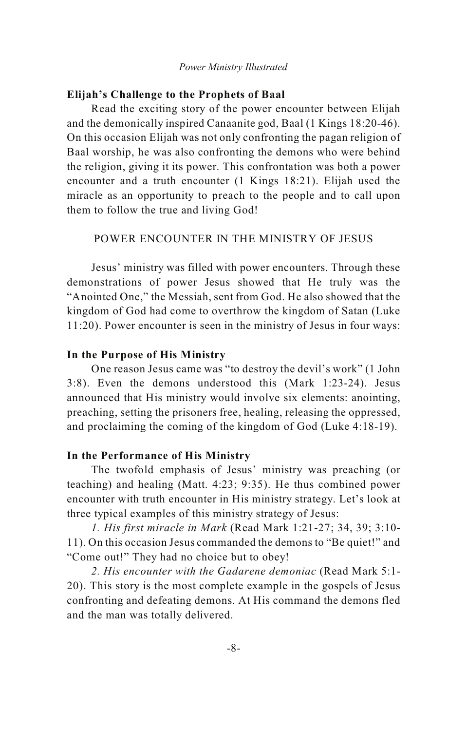#### *Power Ministry Illustrated*

### **Elijah's Challenge to the Prophets of Baal**

Read the exciting story of the power encounter between Elijah and the demonically inspired Canaanite god, Baal (1 Kings 18:20-46). On this occasion Elijah was not only confronting the pagan religion of Baal worship, he was also confronting the demons who were behind the religion, giving it its power. This confrontation was both a power encounter and a truth encounter (1 Kings 18:21). Elijah used the miracle as an opportunity to preach to the people and to call upon them to follow the true and living God!

POWER ENCOUNTER IN THE MINISTRY OF JESUS

Jesus' ministry was filled with power encounters. Through these demonstrations of power Jesus showed that He truly was the "Anointed One," the Messiah, sent from God. He also showed that the kingdom of God had come to overthrow the kingdom of Satan (Luke 11:20). Power encounter is seen in the ministry of Jesus in four ways:

### **In the Purpose of His Ministry**

One reason Jesus came was "to destroy the devil's work" (1 John 3:8). Even the demons understood this (Mark 1:23-24). Jesus announced that His ministry would involve six elements: anointing, preaching, setting the prisoners free, healing, releasing the oppressed, and proclaiming the coming of the kingdom of God (Luke 4:18-19).

### **In the Performance of His Ministry**

The twofold emphasis of Jesus' ministry was preaching (or teaching) and healing (Matt. 4:23; 9:35). He thus combined power encounter with truth encounter in His ministry strategy. Let's look at three typical examples of this ministry strategy of Jesus:

*1. His first miracle in Mark* (Read Mark 1:21-27; 34, 39; 3:10- 11). On this occasion Jesus commanded the demons to "Be quiet!" and "Come out!" They had no choice but to obey!

*2. His encounter with the Gadarene demoniac* (Read Mark 5:1- 20). This story is the most complete example in the gospels of Jesus confronting and defeating demons. At His command the demons fled and the man was totally delivered.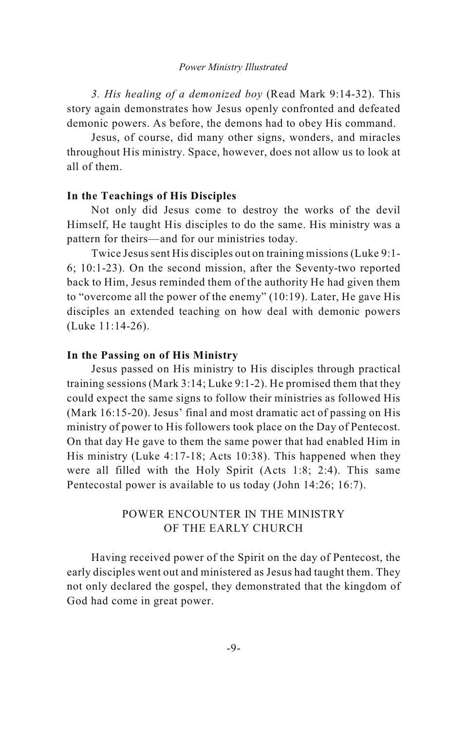#### *Power Ministry Illustrated*

*3. His healing of a demonized boy* (Read Mark 9:14-32). This story again demonstrates how Jesus openly confronted and defeated demonic powers. As before, the demons had to obey His command.

Jesus, of course, did many other signs, wonders, and miracles throughout His ministry. Space, however, does not allow us to look at all of them.

### **In the Teachings of His Disciples**

Not only did Jesus come to destroy the works of the devil Himself, He taught His disciples to do the same. His ministry was a pattern for theirs—and for our ministries today.

Twice Jesus sent His disciples out on training missions (Luke 9:1- 6; 10:1-23). On the second mission, after the Seventy-two reported back to Him, Jesus reminded them of the authority He had given them to "overcome all the power of the enemy" (10:19). Later, He gave His disciples an extended teaching on how deal with demonic powers (Luke 11:14-26).

### **In the Passing on of His Ministry**

Jesus passed on His ministry to His disciples through practical training sessions (Mark 3:14; Luke 9:1-2). He promised them that they could expect the same signs to follow their ministries as followed His (Mark 16:15-20). Jesus' final and most dramatic act of passing on His ministry of power to His followers took place on the Day of Pentecost. On that day He gave to them the same power that had enabled Him in His ministry (Luke 4:17-18; Acts 10:38). This happened when they were all filled with the Holy Spirit (Acts 1:8; 2:4). This same Pentecostal power is available to us today (John 14:26; 16:7).

### POWER ENCOUNTER IN THE MINISTRY OF THE EARLY CHURCH

Having received power of the Spirit on the day of Pentecost, the early disciples went out and ministered as Jesus had taught them. They not only declared the gospel, they demonstrated that the kingdom of God had come in great power.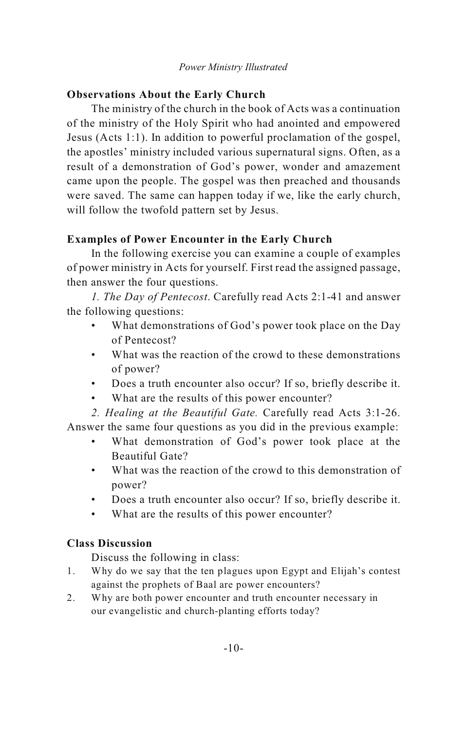### *Power Ministry Illustrated*

### **Observations About the Early Church**

The ministry of the church in the book of Acts was a continuation of the ministry of the Holy Spirit who had anointed and empowered Jesus (Acts 1:1). In addition to powerful proclamation of the gospel, the apostles' ministry included various supernatural signs. Often, as a result of a demonstration of God's power, wonder and amazement came upon the people. The gospel was then preached and thousands were saved. The same can happen today if we, like the early church, will follow the twofold pattern set by Jesus.

### **Examples of Power Encounter in the Early Church**

In the following exercise you can examine a couple of examples of power ministry in Acts for yourself. First read the assigned passage, then answer the four questions.

*1. The Day of Pentecost*. Carefully read Acts 2:1-41 and answer the following questions:

- What demonstrations of God's power took place on the Day of Pentecost?
- What was the reaction of the crowd to these demonstrations of power?
- Does a truth encounter also occur? If so, briefly describe it.
- What are the results of this power encounter?

*2. Healing at the Beautiful Gate.* Carefully read Acts 3:1-26. Answer the same four questions as you did in the previous example:

- What demonstration of God's power took place at the Beautiful Gate?
- What was the reaction of the crowd to this demonstration of power?
- Does a truth encounter also occur? If so, briefly describe it.
- What are the results of this power encounter?

### **Class Discussion**

- 1. Why do we say that the ten plagues upon Egypt and Elijah's contest against the prophets of Baal are power encounters?
- 2. Why are both power encounter and truth encounter necessary in our evangelistic and church-planting efforts today?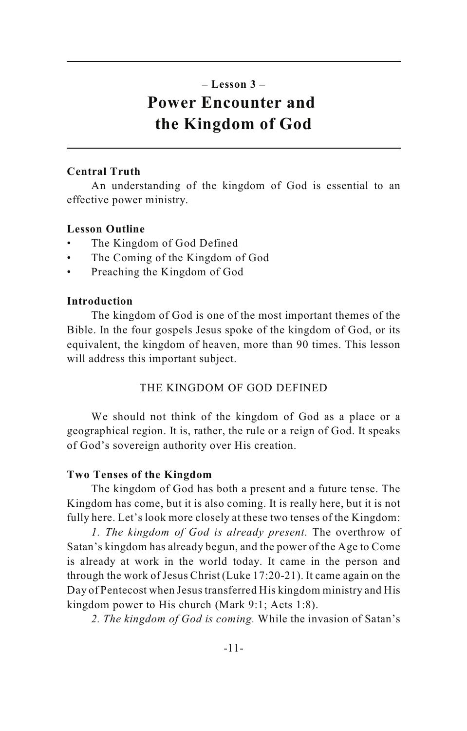### **– Lesson 3 – Power Encounter and the Kingdom of God**

### **Central Truth**

An understanding of the kingdom of God is essential to an effective power ministry.

### **Lesson Outline**

- The Kingdom of God Defined
- The Coming of the Kingdom of God
- Preaching the Kingdom of God

### **Introduction**

The kingdom of God is one of the most important themes of the Bible. In the four gospels Jesus spoke of the kingdom of God, or its equivalent, the kingdom of heaven, more than 90 times. This lesson will address this important subject.

### THE KINGDOM OF GOD DEFINED

We should not think of the kingdom of God as a place or a geographical region. It is, rather, the rule or a reign of God. It speaks of God's sovereign authority over His creation.

### **Two Tenses of the Kingdom**

The kingdom of God has both a present and a future tense. The Kingdom has come, but it is also coming. It is really here, but it is not fully here. Let's look more closely at these two tenses of the Kingdom:

*1. The kingdom of God is already present.* The overthrow of Satan's kingdom has already begun, and the power of the Age to Come is already at work in the world today. It came in the person and through the work of Jesus Christ (Luke 17:20-21). It came again on the Day of Pentecost when Jesus transferred His kingdom ministry and His kingdom power to His church (Mark 9:1; Acts 1:8).

*2. The kingdom of God is coming.* While the invasion of Satan's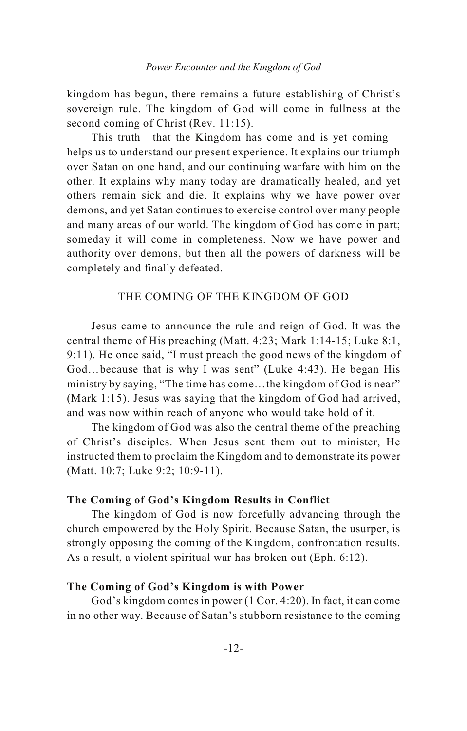kingdom has begun, there remains a future establishing of Christ's sovereign rule. The kingdom of God will come in fullness at the second coming of Christ (Rev. 11:15).

This truth—that the Kingdom has come and is yet coming helps us to understand our present experience. It explains our triumph over Satan on one hand, and our continuing warfare with him on the other. It explains why many today are dramatically healed, and yet others remain sick and die. It explains why we have power over demons, and yet Satan continues to exercise control over many people and many areas of our world. The kingdom of God has come in part; someday it will come in completeness. Now we have power and authority over demons, but then all the powers of darkness will be completely and finally defeated.

### THE COMING OF THE KINGDOM OF GOD

Jesus came to announce the rule and reign of God. It was the central theme of His preaching (Matt. 4:23; Mark 1:14-15; Luke 8:1, 9:11). He once said, "I must preach the good news of the kingdom of God…because that is why I was sent" (Luke 4:43). He began His ministry by saying, "The time has come…the kingdom of God is near" (Mark 1:15). Jesus was saying that the kingdom of God had arrived, and was now within reach of anyone who would take hold of it.

The kingdom of God was also the central theme of the preaching of Christ's disciples. When Jesus sent them out to minister, He instructed them to proclaim the Kingdom and to demonstrate its power (Matt. 10:7; Luke 9:2; 10:9-11).

### **The Coming of God's Kingdom Results in Conflict**

The kingdom of God is now forcefully advancing through the church empowered by the Holy Spirit. Because Satan, the usurper, is strongly opposing the coming of the Kingdom, confrontation results. As a result, a violent spiritual war has broken out (Eph. 6:12).

### **The Coming of God's Kingdom is with Power**

God's kingdom comes in power (1 Cor. 4:20). In fact, it can come in no other way. Because of Satan's stubborn resistance to the coming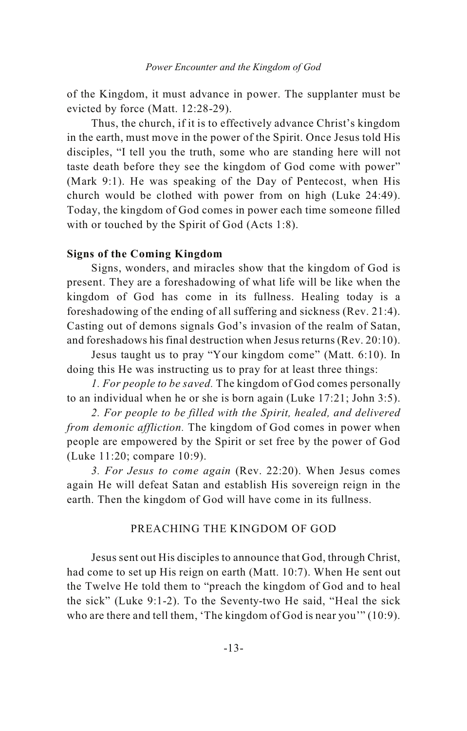of the Kingdom, it must advance in power. The supplanter must be evicted by force (Matt. 12:28-29).

Thus, the church, if it is to effectively advance Christ's kingdom in the earth, must move in the power of the Spirit. Once Jesus told His disciples, "I tell you the truth, some who are standing here will not taste death before they see the kingdom of God come with power" (Mark 9:1). He was speaking of the Day of Pentecost, when His church would be clothed with power from on high (Luke 24:49). Today, the kingdom of God comes in power each time someone filled with or touched by the Spirit of God (Acts 1:8).

### **Signs of the Coming Kingdom**

Signs, wonders, and miracles show that the kingdom of God is present. They are a foreshadowing of what life will be like when the kingdom of God has come in its fullness. Healing today is a foreshadowing of the ending of all suffering and sickness (Rev. 21:4). Casting out of demons signals God's invasion of the realm of Satan, and foreshadows his final destruction when Jesus returns (Rev. 20:10).

Jesus taught us to pray "Your kingdom come" (Matt. 6:10). In doing this He was instructing us to pray for at least three things:

*1. For people to be saved.* The kingdom of God comes personally to an individual when he or she is born again (Luke 17:21; John 3:5).

*2. For people to be filled with the Spirit, healed, and delivered from demonic affliction.* The kingdom of God comes in power when people are empowered by the Spirit or set free by the power of God (Luke 11:20; compare 10:9).

*3. For Jesus to come again* (Rev. 22:20). When Jesus comes again He will defeat Satan and establish His sovereign reign in the earth. Then the kingdom of God will have come in its fullness.

### PREACHING THE KINGDOM OF GOD

Jesus sent out His disciples to announce that God, through Christ, had come to set up His reign on earth (Matt. 10:7). When He sent out the Twelve He told them to "preach the kingdom of God and to heal the sick" (Luke 9:1-2). To the Seventy-two He said, "Heal the sick who are there and tell them, 'The kingdom of God is near you'" (10:9).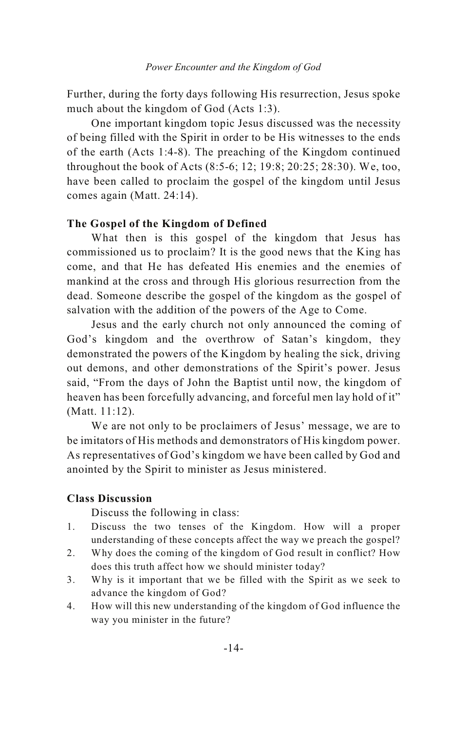Further, during the forty days following His resurrection, Jesus spoke much about the kingdom of God (Acts 1:3).

One important kingdom topic Jesus discussed was the necessity of being filled with the Spirit in order to be His witnesses to the ends of the earth (Acts 1:4-8). The preaching of the Kingdom continued throughout the book of Acts (8:5-6; 12; 19:8; 20:25; 28:30). We, too, have been called to proclaim the gospel of the kingdom until Jesus comes again (Matt. 24:14).

### **The Gospel of the Kingdom of Defined**

What then is this gospel of the kingdom that Jesus has commissioned us to proclaim? It is the good news that the King has come, and that He has defeated His enemies and the enemies of mankind at the cross and through His glorious resurrection from the dead. Someone describe the gospel of the kingdom as the gospel of salvation with the addition of the powers of the Age to Come.

Jesus and the early church not only announced the coming of God's kingdom and the overthrow of Satan's kingdom, they demonstrated the powers of the Kingdom by healing the sick, driving out demons, and other demonstrations of the Spirit's power. Jesus said, "From the days of John the Baptist until now, the kingdom of heaven has been forcefully advancing, and forceful men lay hold of it" (Matt. 11:12).

We are not only to be proclaimers of Jesus' message, we are to be imitators of His methods and demonstrators of His kingdom power. As representatives of God's kingdom we have been called by God and anointed by the Spirit to minister as Jesus ministered.

### **Class Discussion**

- 1. Discuss the two tenses of the Kingdom. How will a proper understanding of these concepts affect the way we preach the gospel?
- 2. Why does the coming of the kingdom of God result in conflict? How does this truth affect how we should minister today?
- 3. Why is it important that we be filled with the Spirit as we seek to advance the kingdom of God?
- 4. How will this new understanding of the kingdom of God influence the way you minister in the future?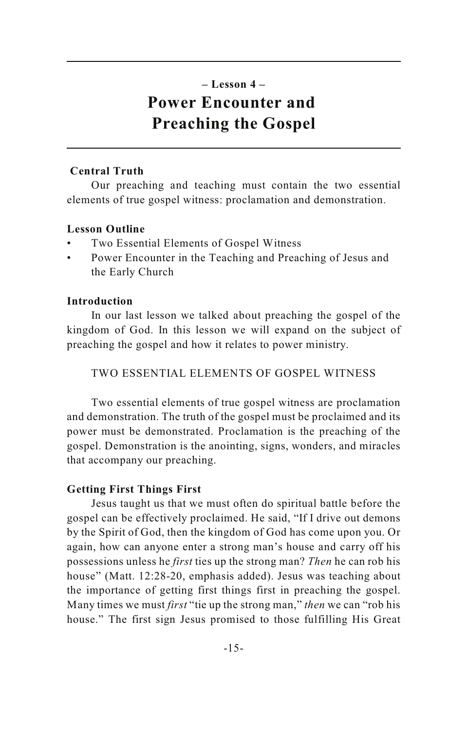### **– Lesson 4 – Power Encounter and Preaching the Gospel**

### **Central Truth**

Our preaching and teaching must contain the two essential elements of true gospel witness: proclamation and demonstration.

### **Lesson Outline**

- Two Essential Elements of Gospel Witness
- Power Encounter in the Teaching and Preaching of Jesus and the Early Church

### **Introduction**

In our last lesson we talked about preaching the gospel of the kingdom of God. In this lesson we will expand on the subject of preaching the gospel and how it relates to power ministry.

TWO ESSENTIAL ELEMENTS OF GOSPEL WITNESS

Two essential elements of true gospel witness are proclamation and demonstration. The truth of the gospel must be proclaimed and its power must be demonstrated. Proclamation is the preaching of the gospel. Demonstration is the anointing, signs, wonders, and miracles that accompany our preaching.

### **Getting First Things First**

Jesus taught us that we must often do spiritual battle before the gospel can be effectively proclaimed. He said, "If I drive out demons by the Spirit of God, then the kingdom of God has come upon you. Or again, how can anyone enter a strong man's house and carry off his possessions unless he *first* ties up the strong man? *Then* he can rob his house" (Matt. 12:28-20, emphasis added). Jesus was teaching about the importance of getting first things first in preaching the gospel. Many times we must *first* "tie up the strong man," *then* we can "rob his house." The first sign Jesus promised to those fulfilling His Great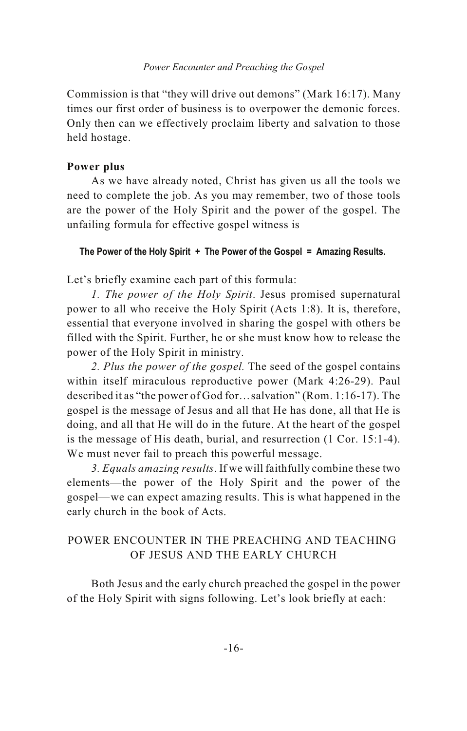Commission is that "they will drive out demons" (Mark 16:17). Many times our first order of business is to overpower the demonic forces. Only then can we effectively proclaim liberty and salvation to those held hostage.

### **Power plus**

As we have already noted, Christ has given us all the tools we need to complete the job. As you may remember, two of those tools are the power of the Holy Spirit and the power of the gospel. The unfailing formula for effective gospel witness is

### **The Power of the Holy Spirit + The Power of the Gospel = Amazing Results.**

Let's briefly examine each part of this formula:

*1. The power of the Holy Spirit*. Jesus promised supernatural power to all who receive the Holy Spirit (Acts 1:8). It is, therefore, essential that everyone involved in sharing the gospel with others be filled with the Spirit. Further, he or she must know how to release the power of the Holy Spirit in ministry.

*2. Plus the power of the gospel.* The seed of the gospel contains within itself miraculous reproductive power (Mark 4:26-29). Paul described it as "the power of God for…salvation" (Rom. 1:16-17). The gospel is the message of Jesus and all that He has done, all that He is doing, and all that He will do in the future. At the heart of the gospel is the message of His death, burial, and resurrection (1 Cor. 15:1-4). We must never fail to preach this powerful message.

*3. Equals amazing results*. If we will faithfully combine these two elements—the power of the Holy Spirit and the power of the gospel—we can expect amazing results. This is what happened in the early church in the book of Acts.

### POWER ENCOUNTER IN THE PREACHING AND TEACHING OF JESUS AND THE EARLY CHURCH

Both Jesus and the early church preached the gospel in the power of the Holy Spirit with signs following. Let's look briefly at each: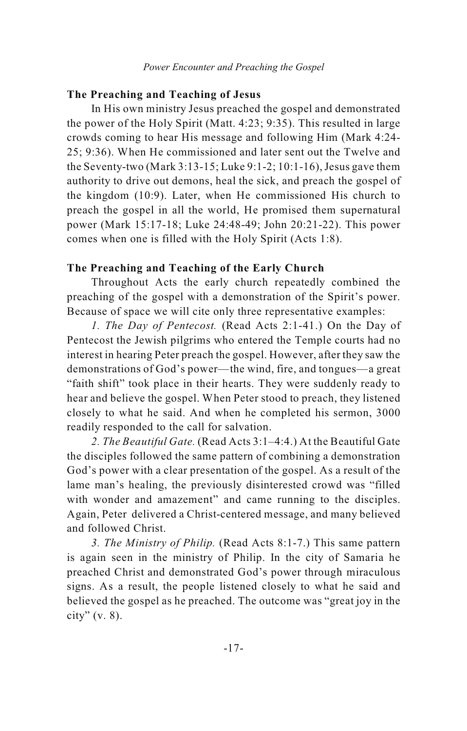### **The Preaching and Teaching of Jesus**

In His own ministry Jesus preached the gospel and demonstrated the power of the Holy Spirit (Matt. 4:23; 9:35). This resulted in large crowds coming to hear His message and following Him (Mark 4:24- 25; 9:36). When He commissioned and later sent out the Twelve and the Seventy-two (Mark 3:13-15; Luke 9:1-2; 10:1-16), Jesus gave them authority to drive out demons, heal the sick, and preach the gospel of the kingdom (10:9). Later, when He commissioned His church to preach the gospel in all the world, He promised them supernatural power (Mark 15:17-18; Luke 24:48-49; John 20:21-22). This power comes when one is filled with the Holy Spirit (Acts 1:8).

### **The Preaching and Teaching of the Early Church**

Throughout Acts the early church repeatedly combined the preaching of the gospel with a demonstration of the Spirit's power. Because of space we will cite only three representative examples:

*1. The Day of Pentecost.* (Read Acts 2:1-41.) On the Day of Pentecost the Jewish pilgrims who entered the Temple courts had no interest in hearing Peter preach the gospel. However, after they saw the demonstrations of God's power—the wind, fire, and tongues—a great "faith shift" took place in their hearts. They were suddenly ready to hear and believe the gospel. When Peter stood to preach, they listened closely to what he said. And when he completed his sermon, 3000 readily responded to the call for salvation.

*2. The Beautiful Gate.* (Read Acts 3:1–4:4.) At the Beautiful Gate the disciples followed the same pattern of combining a demonstration God's power with a clear presentation of the gospel. As a result of the lame man's healing, the previously disinterested crowd was "filled with wonder and amazement" and came running to the disciples. Again, Peter delivered a Christ-centered message, and many believed and followed Christ.

*3. The Ministry of Philip.* (Read Acts 8:1-7.) This same pattern is again seen in the ministry of Philip. In the city of Samaria he preached Christ and demonstrated God's power through miraculous signs. As a result, the people listened closely to what he said and believed the gospel as he preached. The outcome was "great joy in the city"  $(v. 8)$ .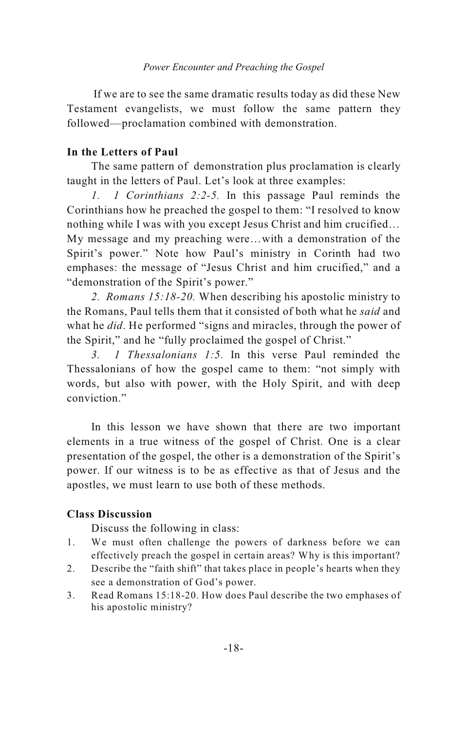If we are to see the same dramatic results today as did these New Testament evangelists, we must follow the same pattern they followed—proclamation combined with demonstration.

### **In the Letters of Paul**

The same pattern of demonstration plus proclamation is clearly taught in the letters of Paul. Let's look at three examples:

*1. 1 Corinthians 2:2-5.* In this passage Paul reminds the Corinthians how he preached the gospel to them: "I resolved to know nothing while I was with you except Jesus Christ and him crucified… My message and my preaching were…with a demonstration of the Spirit's power." Note how Paul's ministry in Corinth had two emphases: the message of "Jesus Christ and him crucified," and a "demonstration of the Spirit's power."

*2. Romans 15:18-20.* When describing his apostolic ministry to the Romans, Paul tells them that it consisted of both what he *said* and what he *did*. He performed "signs and miracles, through the power of the Spirit," and he "fully proclaimed the gospel of Christ."

*3. 1 Thessalonians 1:5.* In this verse Paul reminded the Thessalonians of how the gospel came to them: "not simply with words, but also with power, with the Holy Spirit, and with deep conviction."

In this lesson we have shown that there are two important elements in a true witness of the gospel of Christ. One is a clear presentation of the gospel, the other is a demonstration of the Spirit's power. If our witness is to be as effective as that of Jesus and the apostles, we must learn to use both of these methods.

### **Class Discussion**

- 1. We must often challenge the powers of darkness before we can effectively preach the gospel in certain areas? Why is this important?
- 2. Describe the "faith shift" that takes place in people's hearts when they see a demonstration of God's power.
- 3. Read Romans 15:18-20. How does Paul describe the two emphases of his apostolic ministry?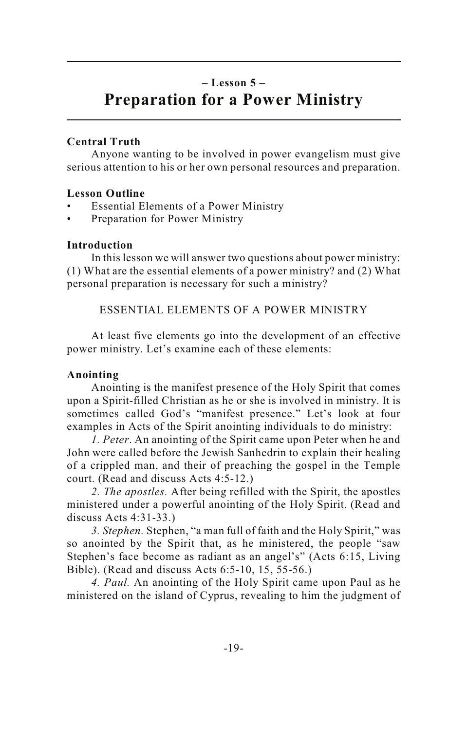### **– Lesson 5 – Preparation for a Power Ministry**

### **Central Truth**

Anyone wanting to be involved in power evangelism must give serious attention to his or her own personal resources and preparation.

### **Lesson Outline**

- Essential Elements of a Power Ministry
- Preparation for Power Ministry

### **Introduction**

In this lesson we will answer two questions about power ministry: (1) What are the essential elements of a power ministry? and (2) What personal preparation is necessary for such a ministry?

ESSENTIAL ELEMENTS OF A POWER MINISTRY

At least five elements go into the development of an effective power ministry. Let's examine each of these elements:

### **Anointing**

Anointing is the manifest presence of the Holy Spirit that comes upon a Spirit-filled Christian as he or she is involved in ministry. It is sometimes called God's "manifest presence." Let's look at four examples in Acts of the Spirit anointing individuals to do ministry:

*1. Peter*. An anointing of the Spirit came upon Peter when he and John were called before the Jewish Sanhedrin to explain their healing of a crippled man, and their of preaching the gospel in the Temple court. (Read and discuss Acts 4:5-12.)

*2. The apostles.* After being refilled with the Spirit, the apostles ministered under a powerful anointing of the Holy Spirit. (Read and discuss Acts 4:31-33.)

*3. Stephen.* Stephen, "a man full of faith and the Holy Spirit," was so anointed by the Spirit that, as he ministered, the people "saw Stephen's face become as radiant as an angel's" (Acts 6:15, Living Bible). (Read and discuss Acts 6:5-10, 15, 55-56.)

*4. Paul.* An anointing of the Holy Spirit came upon Paul as he ministered on the island of Cyprus, revealing to him the judgment of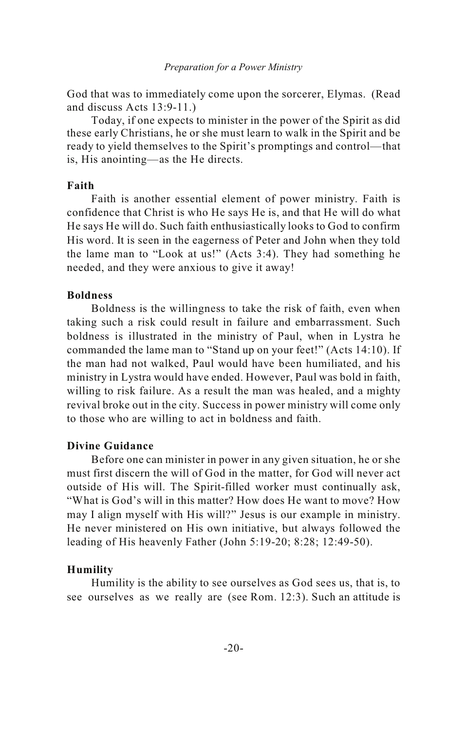#### *Preparation for a Power Ministry*

God that was to immediately come upon the sorcerer, Elymas. (Read and discuss Acts 13:9-11.)

Today, if one expects to minister in the power of the Spirit as did these early Christians, he or she must learn to walk in the Spirit and be ready to yield themselves to the Spirit's promptings and control—that is, His anointing—as the He directs.

### **Faith**

Faith is another essential element of power ministry. Faith is confidence that Christ is who He says He is, and that He will do what He says He will do. Such faith enthusiastically looks to God to confirm His word. It is seen in the eagerness of Peter and John when they told the lame man to "Look at us!" (Acts 3:4). They had something he needed, and they were anxious to give it away!

### **Boldness**

Boldness is the willingness to take the risk of faith, even when taking such a risk could result in failure and embarrassment. Such boldness is illustrated in the ministry of Paul, when in Lystra he commanded the lame man to "Stand up on your feet!" (Acts 14:10). If the man had not walked, Paul would have been humiliated, and his ministry in Lystra would have ended. However, Paul was bold in faith, willing to risk failure. As a result the man was healed, and a mighty revival broke out in the city. Success in power ministry will come only to those who are willing to act in boldness and faith.

### **Divine Guidance**

Before one can minister in power in any given situation, he or she must first discern the will of God in the matter, for God will never act outside of His will. The Spirit-filled worker must continually ask, "What is God's will in this matter? How does He want to move? How may I align myself with His will?" Jesus is our example in ministry. He never ministered on His own initiative, but always followed the leading of His heavenly Father (John 5:19-20; 8:28; 12:49-50).

### **Humility**

Humility is the ability to see ourselves as God sees us, that is, to see ourselves as we really are (see Rom. 12:3). Such an attitude is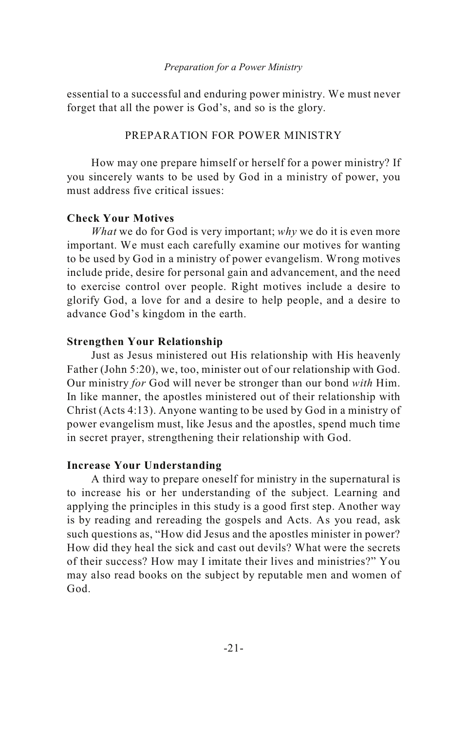essential to a successful and enduring power ministry. We must never forget that all the power is God's, and so is the glory.

### PREPARATION FOR POWER MINISTRY

How may one prepare himself or herself for a power ministry? If you sincerely wants to be used by God in a ministry of power, you must address five critical issues:

### **Check Your Motives**

*What* we do for God is very important; *why* we do it is even more important. We must each carefully examine our motives for wanting to be used by God in a ministry of power evangelism. Wrong motives include pride, desire for personal gain and advancement, and the need to exercise control over people. Right motives include a desire to glorify God, a love for and a desire to help people, and a desire to advance God's kingdom in the earth.

### **Strengthen Your Relationship**

Just as Jesus ministered out His relationship with His heavenly Father (John 5:20), we, too, minister out of our relationship with God. Our ministry *for* God will never be stronger than our bond *with* Him. In like manner, the apostles ministered out of their relationship with Christ (Acts 4:13). Anyone wanting to be used by God in a ministry of power evangelism must, like Jesus and the apostles, spend much time in secret prayer, strengthening their relationship with God.

### **Increase Your Understanding**

A third way to prepare oneself for ministry in the supernatural is to increase his or her understanding of the subject. Learning and applying the principles in this study is a good first step. Another way is by reading and rereading the gospels and Acts. As you read, ask such questions as, "How did Jesus and the apostles minister in power? How did they heal the sick and cast out devils? What were the secrets of their success? How may I imitate their lives and ministries?" You may also read books on the subject by reputable men and women of God.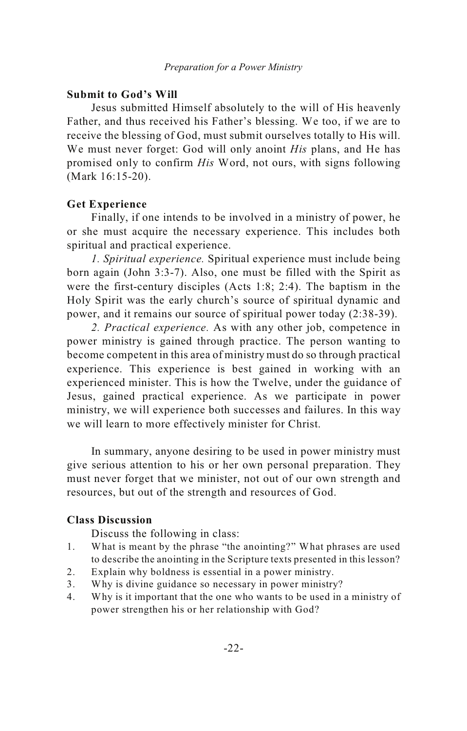### **Submit to God's Will**

Jesus submitted Himself absolutely to the will of His heavenly Father, and thus received his Father's blessing. We too, if we are to receive the blessing of God, must submit ourselves totally to His will. We must never forget: God will only anoint *His* plans, and He has promised only to confirm *His* Word, not ours, with signs following (Mark 16:15-20).

### **Get Experience**

Finally, if one intends to be involved in a ministry of power, he or she must acquire the necessary experience. This includes both spiritual and practical experience.

*1. Spiritual experience.* Spiritual experience must include being born again (John 3:3-7). Also, one must be filled with the Spirit as were the first-century disciples (Acts 1:8; 2:4). The baptism in the Holy Spirit was the early church's source of spiritual dynamic and power, and it remains our source of spiritual power today (2:38-39).

*2. Practical experience.* As with any other job, competence in power ministry is gained through practice. The person wanting to become competent in this area of ministry must do so through practical experience. This experience is best gained in working with an experienced minister. This is how the Twelve, under the guidance of Jesus, gained practical experience. As we participate in power ministry, we will experience both successes and failures. In this way we will learn to more effectively minister for Christ.

In summary, anyone desiring to be used in power ministry must give serious attention to his or her own personal preparation. They must never forget that we minister, not out of our own strength and resources, but out of the strength and resources of God.

### **Class Discussion**

- 1. What is meant by the phrase "the anointing?" What phrases are used to describe the anointing in the Scripture texts presented in this lesson?
- 2. Explain why boldness is essential in a power ministry.
- 3. Why is divine guidance so necessary in power ministry?
- 4. Why is it important that the one who wants to be used in a ministry of power strengthen his or her relationship with God?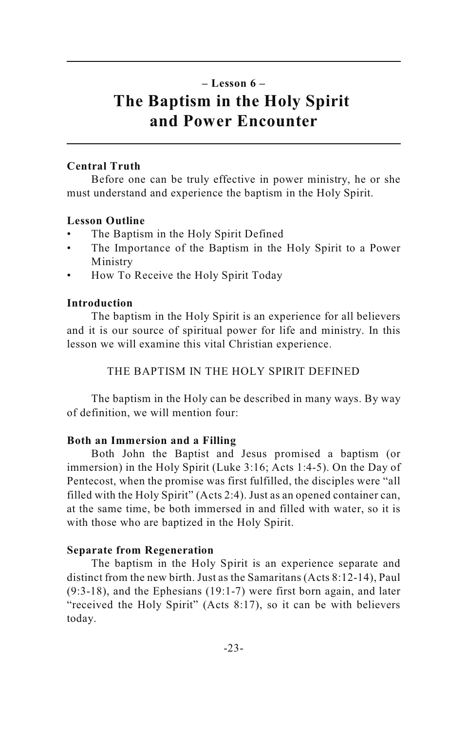### **– Lesson 6 – The Baptism in the Holy Spirit and Power Encounter**

### **Central Truth**

Before one can be truly effective in power ministry, he or she must understand and experience the baptism in the Holy Spirit.

### **Lesson Outline**

- The Baptism in the Holy Spirit Defined
- The Importance of the Baptism in the Holy Spirit to a Power Ministry
- How To Receive the Holy Spirit Today

### **Introduction**

The baptism in the Holy Spirit is an experience for all believers and it is our source of spiritual power for life and ministry. In this lesson we will examine this vital Christian experience.

THE BAPTISM IN THE HOLY SPIRIT DEFINED

The baptism in the Holy can be described in many ways. By way of definition, we will mention four:

### **Both an Immersion and a Filling**

Both John the Baptist and Jesus promised a baptism (or immersion) in the Holy Spirit (Luke 3:16; Acts 1:4-5). On the Day of Pentecost, when the promise was first fulfilled, the disciples were "all filled with the Holy Spirit" (Acts 2:4). Just as an opened container can, at the same time, be both immersed in and filled with water, so it is with those who are baptized in the Holy Spirit.

### **Separate from Regeneration**

The baptism in the Holy Spirit is an experience separate and distinct from the new birth. Just as the Samaritans (Acts 8:12-14), Paul (9:3-18), and the Ephesians (19:1-7) were first born again, and later "received the Holy Spirit" (Acts 8:17), so it can be with believers today.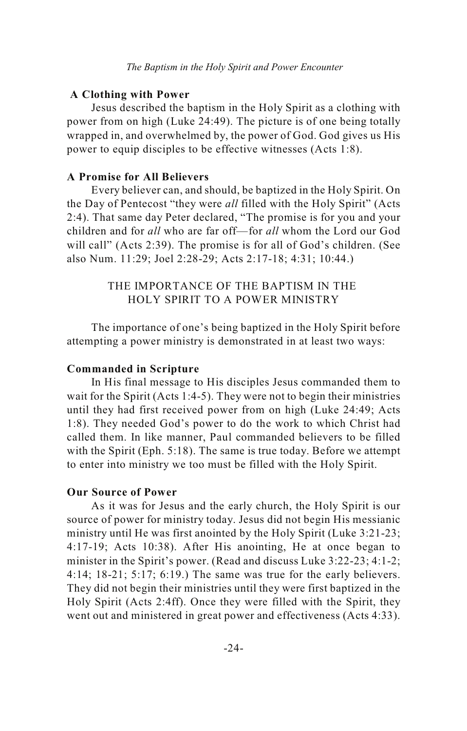### **A Clothing with Power**

Jesus described the baptism in the Holy Spirit as a clothing with power from on high (Luke 24:49). The picture is of one being totally wrapped in, and overwhelmed by, the power of God. God gives us His power to equip disciples to be effective witnesses (Acts 1:8).

### **A Promise for All Believers**

Every believer can, and should, be baptized in the Holy Spirit. On the Day of Pentecost "they were *all* filled with the Holy Spirit" (Acts 2:4). That same day Peter declared, "The promise is for you and your children and for *all* who are far off—for *all* whom the Lord our God will call" (Acts 2:39). The promise is for all of God's children. (See also Num. 11:29; Joel 2:28-29; Acts 2:17-18; 4:31; 10:44.)

### THE IMPORTANCE OF THE BAPTISM IN THE HOLY SPIRIT TO A POWER MINISTRY

The importance of one's being baptized in the Holy Spirit before attempting a power ministry is demonstrated in at least two ways:

### **Commanded in Scripture**

In His final message to His disciples Jesus commanded them to wait for the Spirit (Acts 1:4-5). They were not to begin their ministries until they had first received power from on high (Luke 24:49; Acts 1:8). They needed God's power to do the work to which Christ had called them. In like manner, Paul commanded believers to be filled with the Spirit (Eph. 5:18). The same is true today. Before we attempt to enter into ministry we too must be filled with the Holy Spirit.

### **Our Source of Power**

As it was for Jesus and the early church, the Holy Spirit is our source of power for ministry today. Jesus did not begin His messianic ministry until He was first anointed by the Holy Spirit (Luke 3:21-23; 4:17-19; Acts 10:38). After His anointing, He at once began to minister in the Spirit's power. (Read and discuss Luke 3:22-23; 4:1-2; 4:14; 18-21; 5:17; 6:19.) The same was true for the early believers. They did not begin their ministries until they were first baptized in the Holy Spirit (Acts 2:4ff). Once they were filled with the Spirit, they went out and ministered in great power and effectiveness (Acts 4:33).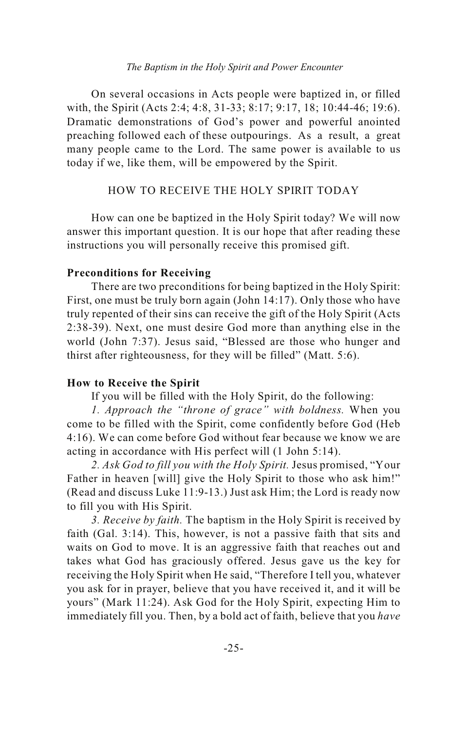#### *The Baptism in the Holy Spirit and Power Encounter*

On several occasions in Acts people were baptized in, or filled with, the Spirit (Acts 2:4; 4:8, 31-33; 8:17; 9:17, 18; 10:44-46; 19:6). Dramatic demonstrations of God's power and powerful anointed preaching followed each of these outpourings. As a result, a great many people came to the Lord. The same power is available to us today if we, like them, will be empowered by the Spirit.

### HOW TO RECEIVE THE HOLY SPIRIT TODAY

How can one be baptized in the Holy Spirit today? We will now answer this important question. It is our hope that after reading these instructions you will personally receive this promised gift.

### **Preconditions for Receiving**

There are two preconditions for being baptized in the Holy Spirit: First, one must be truly born again (John 14:17). Only those who have truly repented of their sins can receive the gift of the Holy Spirit (Acts 2:38-39). Next, one must desire God more than anything else in the world (John 7:37). Jesus said, "Blessed are those who hunger and thirst after righteousness, for they will be filled" (Matt. 5:6).

### **How to Receive the Spirit**

If you will be filled with the Holy Spirit, do the following:

*1. Approach the "throne of grace" with boldness.* When you come to be filled with the Spirit, come confidently before God (Heb 4:16). We can come before God without fear because we know we are acting in accordance with His perfect will (1 John 5:14).

*2. Ask God to fill you with the Holy Spirit.* Jesus promised, "Your Father in heaven [will] give the Holy Spirit to those who ask him!" (Read and discuss Luke 11:9-13.) Just ask Him; the Lord is ready now to fill you with His Spirit.

*3. Receive by faith.* The baptism in the Holy Spirit is received by faith (Gal. 3:14). This, however, is not a passive faith that sits and waits on God to move. It is an aggressive faith that reaches out and takes what God has graciously offered. Jesus gave us the key for receiving the Holy Spirit when He said, "Therefore I tell you, whatever you ask for in prayer, believe that you have received it, and it will be yours" (Mark 11:24). Ask God for the Holy Spirit, expecting Him to immediately fill you. Then, by a bold act of faith, believe that you *have*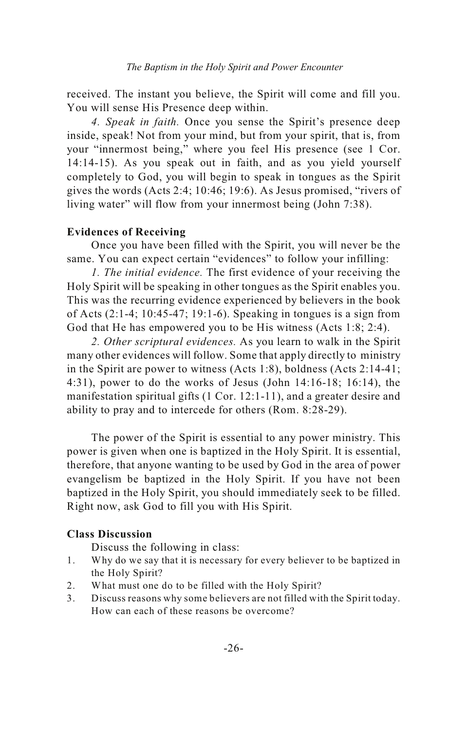received. The instant you believe, the Spirit will come and fill you. You will sense His Presence deep within.

*4. Speak in faith.* Once you sense the Spirit's presence deep inside, speak! Not from your mind, but from your spirit, that is, from your "innermost being," where you feel His presence (see 1 Cor. 14:14-15). As you speak out in faith, and as you yield yourself completely to God, you will begin to speak in tongues as the Spirit gives the words (Acts 2:4; 10:46; 19:6). As Jesus promised, "rivers of living water" will flow from your innermost being (John 7:38).

### **Evidences of Receiving**

Once you have been filled with the Spirit, you will never be the same. You can expect certain "evidences" to follow your infilling:

*1. The initial evidence.* The first evidence of your receiving the Holy Spirit will be speaking in other tongues as the Spirit enables you. This was the recurring evidence experienced by believers in the book of Acts (2:1-4; 10:45-47; 19:1-6). Speaking in tongues is a sign from God that He has empowered you to be His witness (Acts 1:8; 2:4).

*2. Other scriptural evidences.* As you learn to walk in the Spirit many other evidences will follow. Some that apply directly to ministry in the Spirit are power to witness (Acts 1:8), boldness (Acts 2:14-41; 4:31), power to do the works of Jesus (John 14:16-18; 16:14), the manifestation spiritual gifts (1 Cor. 12:1-11), and a greater desire and ability to pray and to intercede for others (Rom. 8:28-29).

The power of the Spirit is essential to any power ministry. This power is given when one is baptized in the Holy Spirit. It is essential, therefore, that anyone wanting to be used by God in the area of power evangelism be baptized in the Holy Spirit. If you have not been baptized in the Holy Spirit, you should immediately seek to be filled. Right now, ask God to fill you with His Spirit.

### **Class Discussion**

- 1. Why do we say that it is necessary for every believer to be baptized in the Holy Spirit?
- 2. What must one do to be filled with the Holy Spirit?
- 3. Discuss reasons why some believers are not filled with the Spirit today. How can each of these reasons be overcome?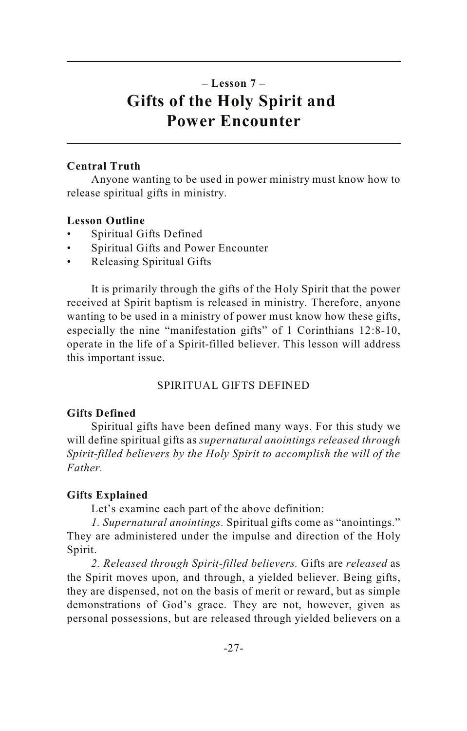### **– Lesson 7 – Gifts of the Holy Spirit and Power Encounter**

### **Central Truth**

Anyone wanting to be used in power ministry must know how to release spiritual gifts in ministry.

### **Lesson Outline**

- Spiritual Gifts Defined
- Spiritual Gifts and Power Encounter
- Releasing Spiritual Gifts

It is primarily through the gifts of the Holy Spirit that the power received at Spirit baptism is released in ministry. Therefore, anyone wanting to be used in a ministry of power must know how these gifts, especially the nine "manifestation gifts" of 1 Corinthians 12:8-10, operate in the life of a Spirit-filled believer. This lesson will address this important issue.

### SPIRITUAL GIFTS DEFINED

### **Gifts Defined**

Spiritual gifts have been defined many ways. For this study we will define spiritual gifts as *supernatural anointings released through Spirit-filled believers by the Holy Spirit to accomplish the will of the Father.*

### **Gifts Explained**

Let's examine each part of the above definition:

*1. Supernatural anointings.* Spiritual gifts come as "anointings." They are administered under the impulse and direction of the Holy Spirit.

*2. Released through Spirit-filled believers.* Gifts are *released* as the Spirit moves upon, and through, a yielded believer. Being gifts, they are dispensed, not on the basis of merit or reward, but as simple demonstrations of God's grace. They are not, however, given as personal possessions, but are released through yielded believers on a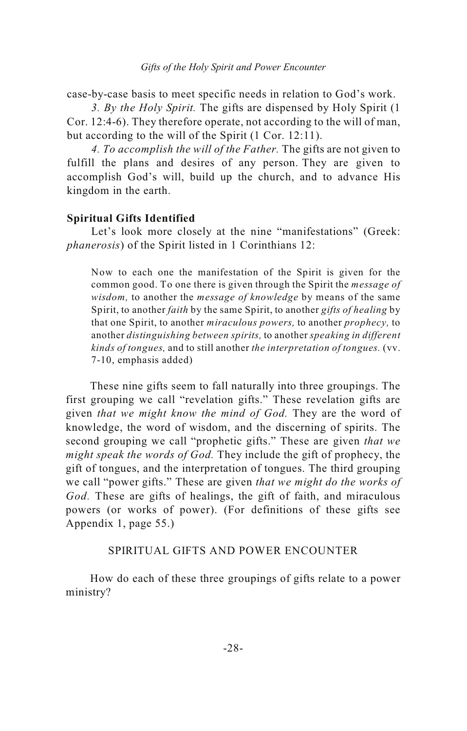case-by-case basis to meet specific needs in relation to God's work.

*3. By the Holy Spirit.* The gifts are dispensed by Holy Spirit (1 Cor. 12:4-6). They therefore operate, not according to the will of man, but according to the will of the Spirit (1 Cor. 12:11).

*4. To accomplish the will of the Father.* The gifts are not given to fulfill the plans and desires of any person. They are given to accomplish God's will, build up the church, and to advance His kingdom in the earth.

### **Spiritual Gifts Identified**

Let's look more closely at the nine "manifestations" (Greek: *phanerosis*) of the Spirit listed in 1 Corinthians 12:

Now to each one the manifestation of the Spirit is given for the common good. To one there is given through the Spirit the *message of wisdom,* to another the *message of knowledge* by means of the same Spirit, to another *faith* by the same Spirit, to another *gifts of healing* by that one Spirit, to another *miraculous powers,* to another *prophecy,* to another *distinguishing between spirits,* to another *speaking in different kinds of tongues,* and to still another *the interpretation of tongues.* (vv. 7-10, emphasis added)

These nine gifts seem to fall naturally into three groupings. The first grouping we call "revelation gifts." These revelation gifts are given *that we might know the mind of God.* They are the word of knowledge, the word of wisdom, and the discerning of spirits. The second grouping we call "prophetic gifts." These are given *that we might speak the words of God.* They include the gift of prophecy, the gift of tongues, and the interpretation of tongues. The third grouping we call "power gifts." These are given *that we might do the works of God.* These are gifts of healings, the gift of faith, and miraculous powers (or works of power). (For definitions of these gifts see Appendix 1, page 55.)

### SPIRITUAL GIFTS AND POWER ENCOUNTER

How do each of these three groupings of gifts relate to a power ministry?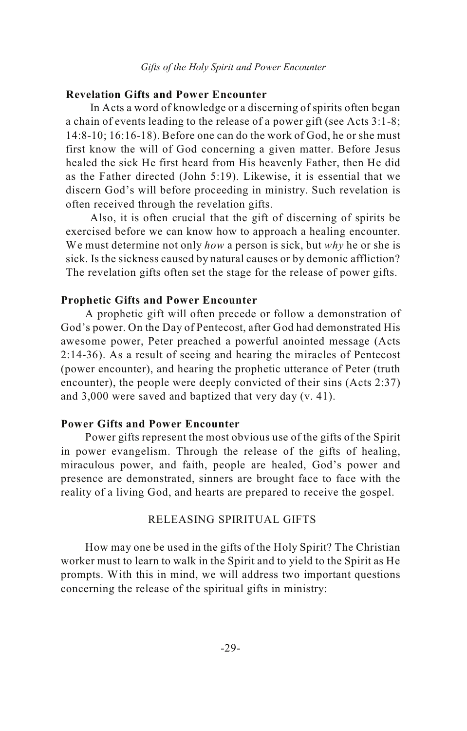### **Revelation Gifts and Power Encounter**

In Acts a word of knowledge or a discerning of spirits often began a chain of events leading to the release of a power gift (see Acts 3:1-8; 14:8-10; 16:16-18). Before one can do the work of God, he or she must first know the will of God concerning a given matter. Before Jesus healed the sick He first heard from His heavenly Father, then He did as the Father directed (John 5:19). Likewise, it is essential that we discern God's will before proceeding in ministry. Such revelation is often received through the revelation gifts.

Also, it is often crucial that the gift of discerning of spirits be exercised before we can know how to approach a healing encounter. We must determine not only *how* a person is sick, but *why* he or she is sick. Is the sickness caused by natural causes or by demonic affliction? The revelation gifts often set the stage for the release of power gifts.

### **Prophetic Gifts and Power Encounter**

A prophetic gift will often precede or follow a demonstration of God's power. On the Day of Pentecost, after God had demonstrated His awesome power, Peter preached a powerful anointed message (Acts 2:14-36). As a result of seeing and hearing the miracles of Pentecost (power encounter), and hearing the prophetic utterance of Peter (truth encounter), the people were deeply convicted of their sins (Acts 2:37) and 3,000 were saved and baptized that very day (v. 41).

### **Power Gifts and Power Encounter**

Power gifts represent the most obvious use of the gifts of the Spirit in power evangelism. Through the release of the gifts of healing, miraculous power, and faith, people are healed, God's power and presence are demonstrated, sinners are brought face to face with the reality of a living God, and hearts are prepared to receive the gospel.

### RELEASING SPIRITUAL GIFTS

How may one be used in the gifts of the Holy Spirit? The Christian worker must to learn to walk in the Spirit and to yield to the Spirit as He prompts. With this in mind, we will address two important questions concerning the release of the spiritual gifts in ministry: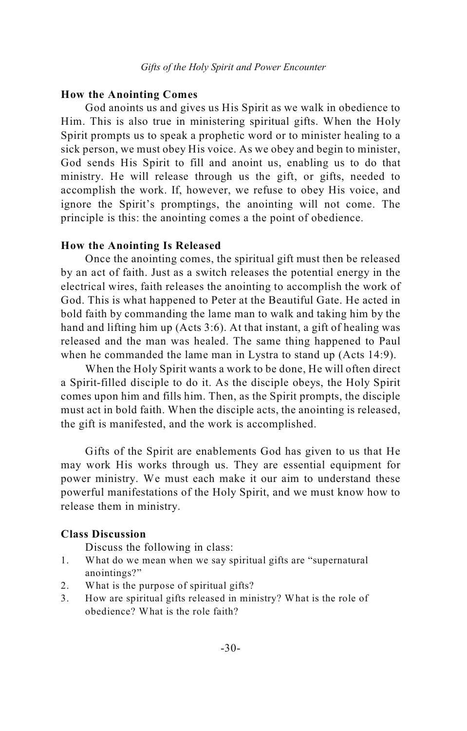### **How the Anointing Comes**

God anoints us and gives us His Spirit as we walk in obedience to Him. This is also true in ministering spiritual gifts. When the Holy Spirit prompts us to speak a prophetic word or to minister healing to a sick person, we must obey His voice. As we obey and begin to minister, God sends His Spirit to fill and anoint us, enabling us to do that ministry. He will release through us the gift, or gifts, needed to accomplish the work. If, however, we refuse to obey His voice, and ignore the Spirit's promptings, the anointing will not come. The principle is this: the anointing comes a the point of obedience.

### **How the Anointing Is Released**

Once the anointing comes, the spiritual gift must then be released by an act of faith. Just as a switch releases the potential energy in the electrical wires, faith releases the anointing to accomplish the work of God. This is what happened to Peter at the Beautiful Gate. He acted in bold faith by commanding the lame man to walk and taking him by the hand and lifting him up (Acts 3:6). At that instant, a gift of healing was released and the man was healed. The same thing happened to Paul when he commanded the lame man in Lystra to stand up (Acts 14:9).

When the Holy Spirit wants a work to be done, He will often direct a Spirit-filled disciple to do it. As the disciple obeys, the Holy Spirit comes upon him and fills him. Then, as the Spirit prompts, the disciple must act in bold faith. When the disciple acts, the anointing is released, the gift is manifested, and the work is accomplished.

Gifts of the Spirit are enablements God has given to us that He may work His works through us. They are essential equipment for power ministry. We must each make it our aim to understand these powerful manifestations of the Holy Spirit, and we must know how to release them in ministry.

### **Class Discussion**

- 1. What do we mean when we say spiritual gifts are "supernatural anointings?"
- 2. What is the purpose of spiritual gifts?
- 3. How are spiritual gifts released in ministry? What is the role of obedience? What is the role faith?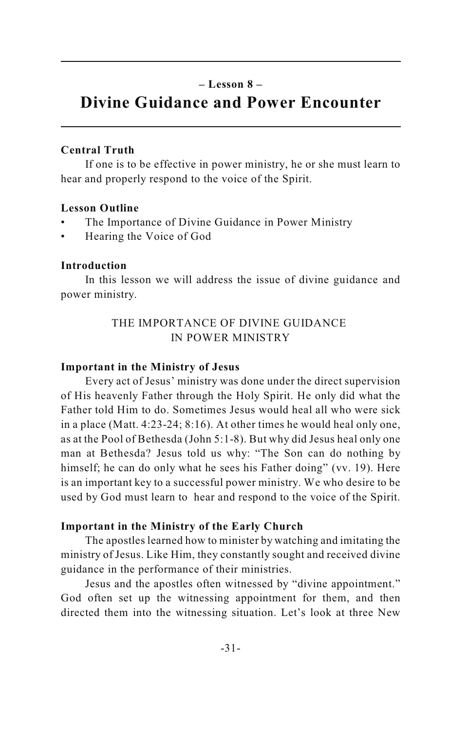### **– Lesson 8 –**

### **Divine Guidance and Power Encounter**

### **Central Truth**

If one is to be effective in power ministry, he or she must learn to hear and properly respond to the voice of the Spirit.

### **Lesson Outline**

- The Importance of Divine Guidance in Power Ministry
- Hearing the Voice of God

### **Introduction**

In this lesson we will address the issue of divine guidance and power ministry.

### THE IMPORTANCE OF DIVINE GUIDANCE IN POWER MINISTRY

#### **Important in the Ministry of Jesus**

Every act of Jesus' ministry was done under the direct supervision of His heavenly Father through the Holy Spirit. He only did what the Father told Him to do. Sometimes Jesus would heal all who were sick in a place (Matt. 4:23-24; 8:16). At other times he would heal only one, as at the Pool of Bethesda (John 5:1-8). But why did Jesus heal only one man at Bethesda? Jesus told us why: "The Son can do nothing by himself; he can do only what he sees his Father doing" (vv. 19). Here is an important key to a successful power ministry. We who desire to be used by God must learn to hear and respond to the voice of the Spirit.

#### **Important in the Ministry of the Early Church**

The apostles learned how to minister by watching and imitating the ministry of Jesus. Like Him, they constantly sought and received divine guidance in the performance of their ministries.

Jesus and the apostles often witnessed by "divine appointment." God often set up the witnessing appointment for them, and then directed them into the witnessing situation. Let's look at three New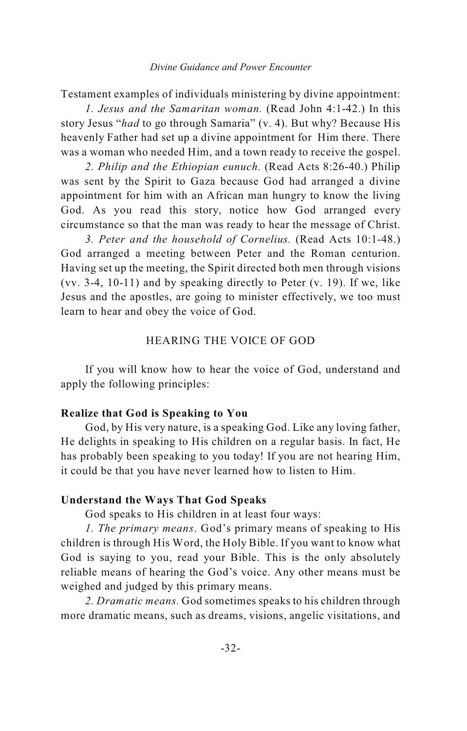#### *Divine Guidance and Power Encounter*

Testament examples of individuals ministering by divine appointment:

*1. Jesus and the Samaritan woman.* (Read John 4:1-42.) In this story Jesus "*had* to go through Samaria" (v. 4). But why? Because His heavenly Father had set up a divine appointment for Him there. There was a woman who needed Him, and a town ready to receive the gospel.

*2. Philip and the Ethiopian eunuch.* (Read Acts 8:26-40.) Philip was sent by the Spirit to Gaza because God had arranged a divine appointment for him with an African man hungry to know the living God. As you read this story, notice how God arranged every circumstance so that the man was ready to hear the message of Christ.

*3. Peter and the household of Cornelius.* (Read Acts 10:1-48.) God arranged a meeting between Peter and the Roman centurion. Having set up the meeting, the Spirit directed both men through visions (vv. 3-4, 10-11) and by speaking directly to Peter (v. 19). If we, like Jesus and the apostles, are going to minister effectively, we too must learn to hear and obey the voice of God.

### HEARING THE VOICE OF GOD

If you will know how to hear the voice of God, understand and apply the following principles:

### **Realize that God is Speaking to You**

God, by His very nature, is a speaking God. Like any loving father, He delights in speaking to His children on a regular basis. In fact, He has probably been speaking to you today! If you are not hearing Him, it could be that you have never learned how to listen to Him.

### **Understand the Ways That God Speaks**

God speaks to His children in at least four ways:

*1. The primary means*. God's primary means of speaking to His children is through His Word, the Holy Bible. If you want to know what God is saying to you, read your Bible. This is the only absolutely reliable means of hearing the God's voice. Any other means must be weighed and judged by this primary means.

*2. Dramatic means.* God sometimes speaks to his children through more dramatic means, such as dreams, visions, angelic visitations, and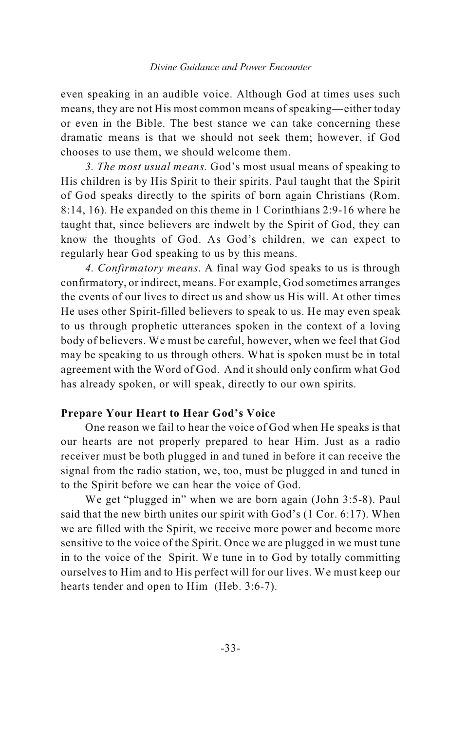#### *Divine Guidance and Power Encounter*

even speaking in an audible voice. Although God at times uses such means, they are not His most common means of speaking—either today or even in the Bible. The best stance we can take concerning these dramatic means is that we should not seek them; however, if God chooses to use them, we should welcome them.

*3. The most usual means.* God's most usual means of speaking to His children is by His Spirit to their spirits. Paul taught that the Spirit of God speaks directly to the spirits of born again Christians (Rom. 8:14, 16). He expanded on this theme in 1 Corinthians 2:9-16 where he taught that, since believers are indwelt by the Spirit of God, they can know the thoughts of God. As God's children, we can expect to regularly hear God speaking to us by this means.

*4. Confirmatory means*. A final way God speaks to us is through confirmatory, or indirect, means. For example, God sometimes arranges the events of our lives to direct us and show us His will. At other times He uses other Spirit-filled believers to speak to us. He may even speak to us through prophetic utterances spoken in the context of a loving body of believers. We must be careful, however, when we feel that God may be speaking to us through others. What is spoken must be in total agreement with the Word of God. And it should only confirm what God has already spoken, or will speak, directly to our own spirits.

### **Prepare Your Heart to Hear God's Voice**

One reason we fail to hear the voice of God when He speaks is that our hearts are not properly prepared to hear Him. Just as a radio receiver must be both plugged in and tuned in before it can receive the signal from the radio station, we, too, must be plugged in and tuned in to the Spirit before we can hear the voice of God.

We get "plugged in" when we are born again (John 3:5-8). Paul said that the new birth unites our spirit with God's (1 Cor. 6:17). When we are filled with the Spirit, we receive more power and become more sensitive to the voice of the Spirit. Once we are plugged in we must tune in to the voice of the Spirit. We tune in to God by totally committing ourselves to Him and to His perfect will for our lives. We must keep our hearts tender and open to Him (Heb. 3:6-7).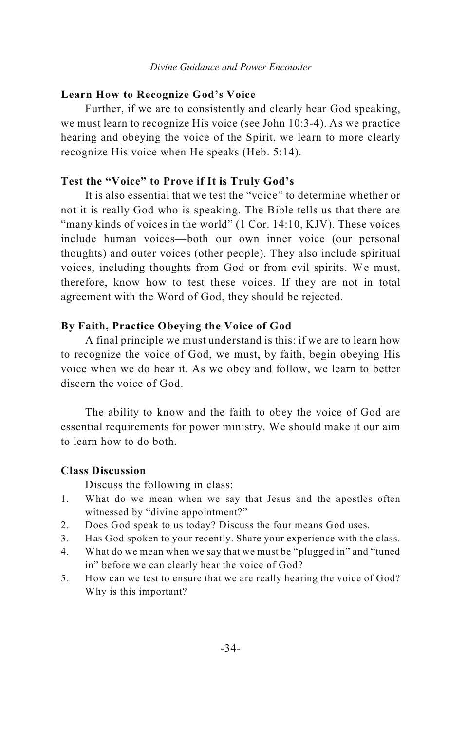### **Learn How to Recognize God's Voice**

Further, if we are to consistently and clearly hear God speaking, we must learn to recognize His voice (see John 10:3-4). As we practice hearing and obeying the voice of the Spirit, we learn to more clearly recognize His voice when He speaks (Heb. 5:14).

### **Test the "Voice" to Prove if It is Truly God's**

It is also essential that we test the "voice" to determine whether or not it is really God who is speaking. The Bible tells us that there are "many kinds of voices in the world" (1 Cor. 14:10, KJV). These voices include human voices—both our own inner voice (our personal thoughts) and outer voices (other people). They also include spiritual voices, including thoughts from God or from evil spirits. We must, therefore, know how to test these voices. If they are not in total agreement with the Word of God, they should be rejected.

### **By Faith, Practice Obeying the Voice of God**

A final principle we must understand is this: if we are to learn how to recognize the voice of God, we must, by faith, begin obeying His voice when we do hear it. As we obey and follow, we learn to better discern the voice of God.

The ability to know and the faith to obey the voice of God are essential requirements for power ministry. We should make it our aim to learn how to do both.

### **Class Discussion**

- 1. What do we mean when we say that Jesus and the apostles often witnessed by "divine appointment?"
- 2. Does God speak to us today? Discuss the four means God uses.
- 3. Has God spoken to your recently. Share your experience with the class.
- 4. What do we mean when we say that we must be "plugged in" and "tuned in" before we can clearly hear the voice of God?
- 5. How can we test to ensure that we are really hearing the voice of God? Why is this important?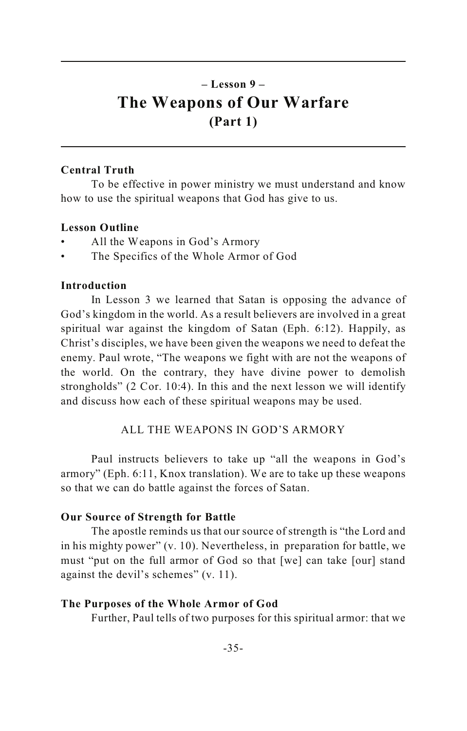### **– Lesson 9 – The Weapons of Our Warfare (Part 1)**

### **Central Truth**

To be effective in power ministry we must understand and know how to use the spiritual weapons that God has give to us.

### **Lesson Outline**

- All the Weapons in God's Armory
- The Specifics of the Whole Armor of God

### **Introduction**

In Lesson 3 we learned that Satan is opposing the advance of God's kingdom in the world. As a result believers are involved in a great spiritual war against the kingdom of Satan (Eph. 6:12). Happily, as Christ's disciples, we have been given the weapons we need to defeat the enemy. Paul wrote, "The weapons we fight with are not the weapons of the world. On the contrary, they have divine power to demolish strongholds" (2 Cor. 10:4). In this and the next lesson we will identify and discuss how each of these spiritual weapons may be used.

### ALL THE WEAPONS IN GOD'S ARMORY

Paul instructs believers to take up "all the weapons in God's armory" (Eph. 6:11, Knox translation). We are to take up these weapons so that we can do battle against the forces of Satan.

### **Our Source of Strength for Battle**

The apostle reminds us that our source of strength is "the Lord and in his mighty power" (v. 10). Nevertheless, in preparation for battle, we must "put on the full armor of God so that [we] can take [our] stand against the devil's schemes" (v. 11).

### **The Purposes of the Whole Armor of God**

Further, Paul tells of two purposes for this spiritual armor: that we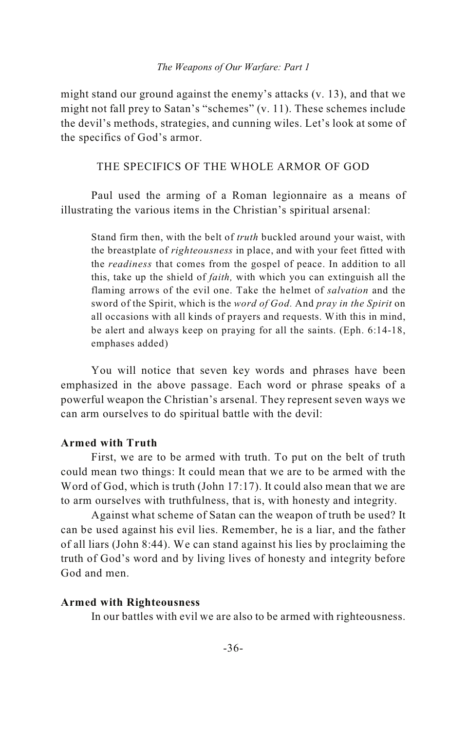#### *The Weapons of Our Warfare: Part 1*

might stand our ground against the enemy's attacks (v. 13), and that we might not fall prey to Satan's "schemes" (v. 11). These schemes include the devil's methods, strategies, and cunning wiles. Let's look at some of the specifics of God's armor.

### THE SPECIFICS OF THE WHOLE ARMOR OF GOD

Paul used the arming of a Roman legionnaire as a means of illustrating the various items in the Christian's spiritual arsenal:

Stand firm then, with the belt of *truth* buckled around your waist, with the breastplate of *righteousness* in place, and with your feet fitted with the *readiness* that comes from the gospel of peace. In addition to all this, take up the shield of *faith,* with which you can extinguish all the flaming arrows of the evil one. Take the helmet of *salvation* and the sword of the Spirit, which is the *word of God.* And *pray in the Spirit* on all occasions with all kinds of prayers and requests. With this in mind, be alert and always keep on praying for all the saints. (Eph. 6:14-18, emphases added)

You will notice that seven key words and phrases have been emphasized in the above passage. Each word or phrase speaks of a powerful weapon the Christian's arsenal. They represent seven ways we can arm ourselves to do spiritual battle with the devil:

### **Armed with Truth**

First, we are to be armed with truth. To put on the belt of truth could mean two things: It could mean that we are to be armed with the Word of God, which is truth (John 17:17). It could also mean that we are to arm ourselves with truthfulness, that is, with honesty and integrity.

Against what scheme of Satan can the weapon of truth be used? It can be used against his evil lies. Remember, he is a liar, and the father of all liars (John 8:44). We can stand against his lies by proclaiming the truth of God's word and by living lives of honesty and integrity before God and men.

#### **Armed with Righteousness**

In our battles with evil we are also to be armed with righteousness.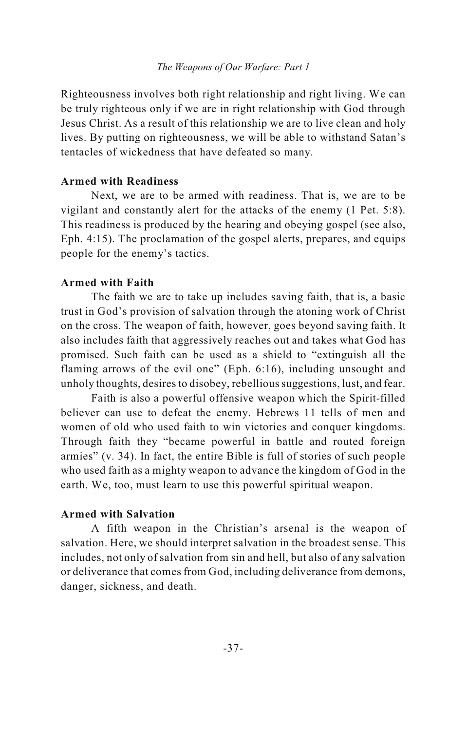Righteousness involves both right relationship and right living. We can be truly righteous only if we are in right relationship with God through Jesus Christ. As a result of this relationship we are to live clean and holy lives. By putting on righteousness, we will be able to withstand Satan's tentacles of wickedness that have defeated so many.

### **Armed with Readiness**

Next, we are to be armed with readiness. That is, we are to be vigilant and constantly alert for the attacks of the enemy (1 Pet. 5:8). This readiness is produced by the hearing and obeying gospel (see also, Eph. 4:15). The proclamation of the gospel alerts, prepares, and equips people for the enemy's tactics.

### **Armed with Faith**

The faith we are to take up includes saving faith, that is, a basic trust in God's provision of salvation through the atoning work of Christ on the cross. The weapon of faith, however, goes beyond saving faith. It also includes faith that aggressively reaches out and takes what God has promised. Such faith can be used as a shield to "extinguish all the flaming arrows of the evil one" (Eph. 6:16), including unsought and unholy thoughts, desires to disobey, rebellious suggestions, lust, and fear.

Faith is also a powerful offensive weapon which the Spirit-filled believer can use to defeat the enemy. Hebrews 11 tells of men and women of old who used faith to win victories and conquer kingdoms. Through faith they "became powerful in battle and routed foreign armies" (v. 34). In fact, the entire Bible is full of stories of such people who used faith as a mighty weapon to advance the kingdom of God in the earth. We, too, must learn to use this powerful spiritual weapon.

### **Armed with Salvation**

A fifth weapon in the Christian's arsenal is the weapon of salvation. Here, we should interpret salvation in the broadest sense. This includes, not only of salvation from sin and hell, but also of any salvation or deliverance that comes from God, including deliverance from demons, danger, sickness, and death.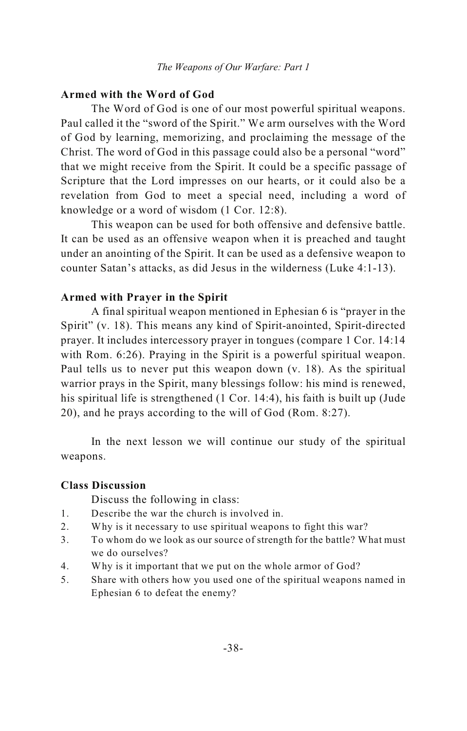### **Armed with the Word of God**

The Word of God is one of our most powerful spiritual weapons. Paul called it the "sword of the Spirit." We arm ourselves with the Word of God by learning, memorizing, and proclaiming the message of the Christ. The word of God in this passage could also be a personal "word" that we might receive from the Spirit. It could be a specific passage of Scripture that the Lord impresses on our hearts, or it could also be a revelation from God to meet a special need, including a word of knowledge or a word of wisdom (1 Cor. 12:8).

This weapon can be used for both offensive and defensive battle. It can be used as an offensive weapon when it is preached and taught under an anointing of the Spirit. It can be used as a defensive weapon to counter Satan's attacks, as did Jesus in the wilderness (Luke 4:1-13).

### **Armed with Prayer in the Spirit**

A final spiritual weapon mentioned in Ephesian 6 is "prayer in the Spirit" (v. 18). This means any kind of Spirit-anointed, Spirit-directed prayer. It includes intercessory prayer in tongues (compare 1 Cor. 14:14 with Rom. 6:26). Praying in the Spirit is a powerful spiritual weapon. Paul tells us to never put this weapon down (v. 18). As the spiritual warrior prays in the Spirit, many blessings follow: his mind is renewed, his spiritual life is strengthened (1 Cor. 14:4), his faith is built up (Jude 20), and he prays according to the will of God (Rom. 8:27).

In the next lesson we will continue our study of the spiritual weapons.

### **Class Discussion**

- 1. Describe the war the church is involved in.
- 2. Why is it necessary to use spiritual weapons to fight this war?
- 3. To whom do we look as our source of strength for the battle? What must we do ourselves?
- 4. Why is it important that we put on the whole armor of God?
- 5. Share with others how you used one of the spiritual weapons named in Ephesian 6 to defeat the enemy?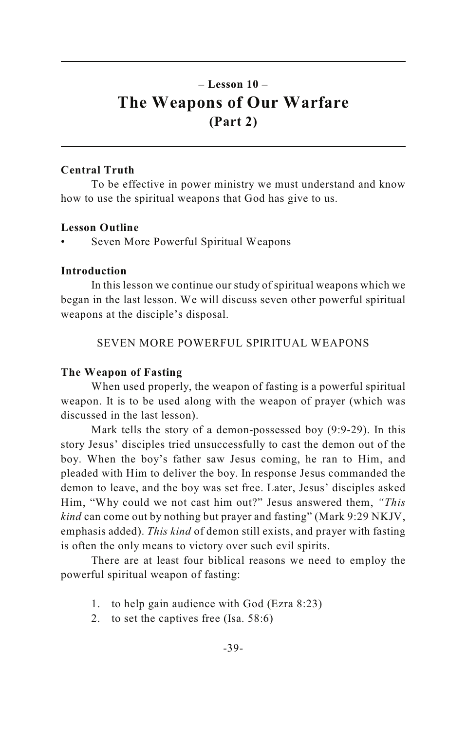### **– Lesson 10 – The Weapons of Our Warfare (Part 2)**

### **Central Truth**

To be effective in power ministry we must understand and know how to use the spiritual weapons that God has give to us.

### **Lesson Outline**

• Seven More Powerful Spiritual Weapons

### **Introduction**

In this lesson we continue our study of spiritual weapons which we began in the last lesson. We will discuss seven other powerful spiritual weapons at the disciple's disposal.

SEVEN MORE POWERFUL SPIRITUAL WEAPONS

### **The Weapon of Fasting**

When used properly, the weapon of fasting is a powerful spiritual weapon. It is to be used along with the weapon of prayer (which was discussed in the last lesson).

Mark tells the story of a demon-possessed boy (9:9-29). In this story Jesus' disciples tried unsuccessfully to cast the demon out of the boy. When the boy's father saw Jesus coming, he ran to Him, and pleaded with Him to deliver the boy. In response Jesus commanded the demon to leave, and the boy was set free. Later, Jesus' disciples asked Him, "Why could we not cast him out?" Jesus answered them, *"This kind* can come out by nothing but prayer and fasting" (Mark 9:29 NKJV, emphasis added). *This kind* of demon still exists, and prayer with fasting is often the only means to victory over such evil spirits.

There are at least four biblical reasons we need to employ the powerful spiritual weapon of fasting:

- 1. to help gain audience with God (Ezra 8:23)
- 2. to set the captives free (Isa. 58:6)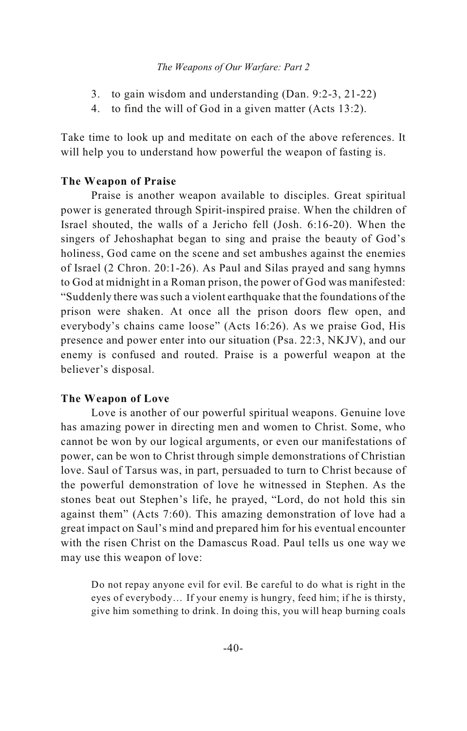### *The Weapons of Our Warfare: Part 2*

- 3. to gain wisdom and understanding (Dan. 9:2-3, 21-22)
- 4. to find the will of God in a given matter (Acts 13:2).

Take time to look up and meditate on each of the above references. It will help you to understand how powerful the weapon of fasting is.

### **The Weapon of Praise**

Praise is another weapon available to disciples. Great spiritual power is generated through Spirit-inspired praise. When the children of Israel shouted, the walls of a Jericho fell (Josh. 6:16-20). When the singers of Jehoshaphat began to sing and praise the beauty of God's holiness, God came on the scene and set ambushes against the enemies of Israel (2 Chron. 20:1-26). As Paul and Silas prayed and sang hymns to God at midnight in a Roman prison, the power of God was manifested: "Suddenly there was such a violent earthquake that the foundations of the prison were shaken. At once all the prison doors flew open, and everybody's chains came loose" (Acts 16:26). As we praise God, His presence and power enter into our situation (Psa. 22:3, NKJV), and our enemy is confused and routed. Praise is a powerful weapon at the believer's disposal.

### **The Weapon of Love**

Love is another of our powerful spiritual weapons. Genuine love has amazing power in directing men and women to Christ. Some, who cannot be won by our logical arguments, or even our manifestations of power, can be won to Christ through simple demonstrations of Christian love. Saul of Tarsus was, in part, persuaded to turn to Christ because of the powerful demonstration of love he witnessed in Stephen. As the stones beat out Stephen's life, he prayed, "Lord, do not hold this sin against them" (Acts 7:60). This amazing demonstration of love had a great impact on Saul's mind and prepared him for his eventual encounter with the risen Christ on the Damascus Road. Paul tells us one way we may use this weapon of love:

Do not repay anyone evil for evil. Be careful to do what is right in the eyes of everybody… If your enemy is hungry, feed him; if he is thirsty, give him something to drink. In doing this, you will heap burning coals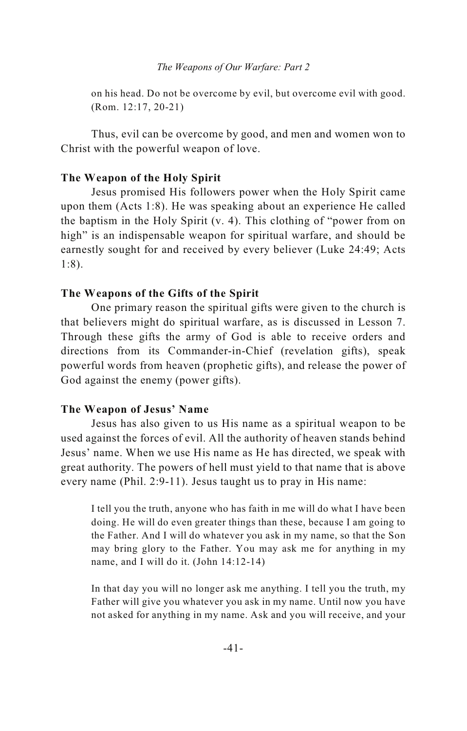on his head. Do not be overcome by evil, but overcome evil with good. (Rom. 12:17, 20-21)

Thus, evil can be overcome by good, and men and women won to Christ with the powerful weapon of love.

### **The Weapon of the Holy Spirit**

Jesus promised His followers power when the Holy Spirit came upon them (Acts 1:8). He was speaking about an experience He called the baptism in the Holy Spirit (v. 4). This clothing of "power from on high" is an indispensable weapon for spiritual warfare, and should be earnestly sought for and received by every believer (Luke 24:49; Acts 1:8).

### **The Weapons of the Gifts of the Spirit**

One primary reason the spiritual gifts were given to the church is that believers might do spiritual warfare, as is discussed in Lesson 7. Through these gifts the army of God is able to receive orders and directions from its Commander-in-Chief (revelation gifts), speak powerful words from heaven (prophetic gifts), and release the power of God against the enemy (power gifts).

### **The Weapon of Jesus' Name**

Jesus has also given to us His name as a spiritual weapon to be used against the forces of evil. All the authority of heaven stands behind Jesus' name. When we use His name as He has directed, we speak with great authority. The powers of hell must yield to that name that is above every name (Phil. 2:9-11). Jesus taught us to pray in His name:

I tell you the truth, anyone who has faith in me will do what I have been doing. He will do even greater things than these, because I am going to the Father. And I will do whatever you ask in my name, so that the Son may bring glory to the Father. You may ask me for anything in my name, and I will do it. (John 14:12-14)

In that day you will no longer ask me anything. I tell you the truth, my Father will give you whatever you ask in my name. Until now you have not asked for anything in my name. Ask and you will receive, and your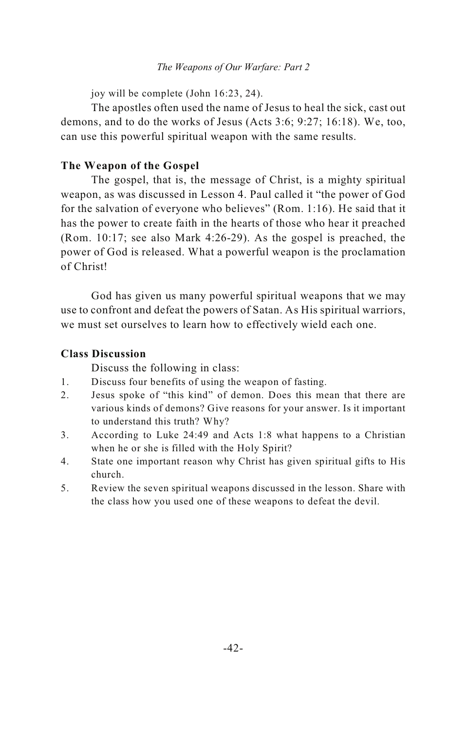### *The Weapons of Our Warfare: Part 2*

joy will be complete (John 16:23, 24).

The apostles often used the name of Jesus to heal the sick, cast out demons, and to do the works of Jesus (Acts 3:6; 9:27; 16:18). We, too, can use this powerful spiritual weapon with the same results.

### **The Weapon of the Gospel**

The gospel, that is, the message of Christ, is a mighty spiritual weapon, as was discussed in Lesson 4. Paul called it "the power of God for the salvation of everyone who believes" (Rom. 1:16). He said that it has the power to create faith in the hearts of those who hear it preached (Rom. 10:17; see also Mark 4:26-29). As the gospel is preached, the power of God is released. What a powerful weapon is the proclamation of Christ!

God has given us many powerful spiritual weapons that we may use to confront and defeat the powers of Satan. As His spiritual warriors, we must set ourselves to learn how to effectively wield each one.

### **Class Discussion**

- 1. Discuss four benefits of using the weapon of fasting.
- 2. Jesus spoke of "this kind" of demon. Does this mean that there are various kinds of demons? Give reasons for your answer. Is it important to understand this truth? Why?
- 3. According to Luke 24:49 and Acts 1:8 what happens to a Christian when he or she is filled with the Holy Spirit?
- 4. State one important reason why Christ has given spiritual gifts to His church.
- 5. Review the seven spiritual weapons discussed in the lesson. Share with the class how you used one of these weapons to defeat the devil.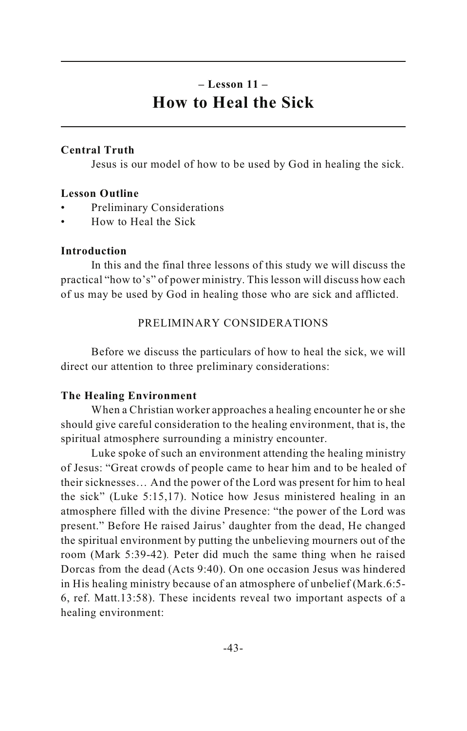### **– Lesson 11 – How to Heal the Sick**

### **Central Truth**

Jesus is our model of how to be used by God in healing the sick.

### **Lesson Outline**

- Preliminary Considerations
- How to Heal the Sick

### **Introduction**

In this and the final three lessons of this study we will discuss the practical "how to's" of power ministry. This lesson will discuss how each of us may be used by God in healing those who are sick and afflicted.

### PRELIMINARY CONSIDERATIONS

Before we discuss the particulars of how to heal the sick, we will direct our attention to three preliminary considerations:

### **The Healing Environment**

When a Christian worker approaches a healing encounter he or she should give careful consideration to the healing environment, that is, the spiritual atmosphere surrounding a ministry encounter.

Luke spoke of such an environment attending the healing ministry of Jesus: "Great crowds of people came to hear him and to be healed of their sicknesses… And the power of the Lord was present for him to heal the sick" (Luke 5:15,17). Notice how Jesus ministered healing in an atmosphere filled with the divine Presence: "the power of the Lord was present." Before He raised Jairus' daughter from the dead, He changed the spiritual environment by putting the unbelieving mourners out of the room (Mark 5:39-42)*.* Peter did much the same thing when he raised Dorcas from the dead (Acts 9:40). On one occasion Jesus was hindered in His healing ministry because of an atmosphere of unbelief (Mark.6:5- 6, ref. Matt.13:58). These incidents reveal two important aspects of a healing environment: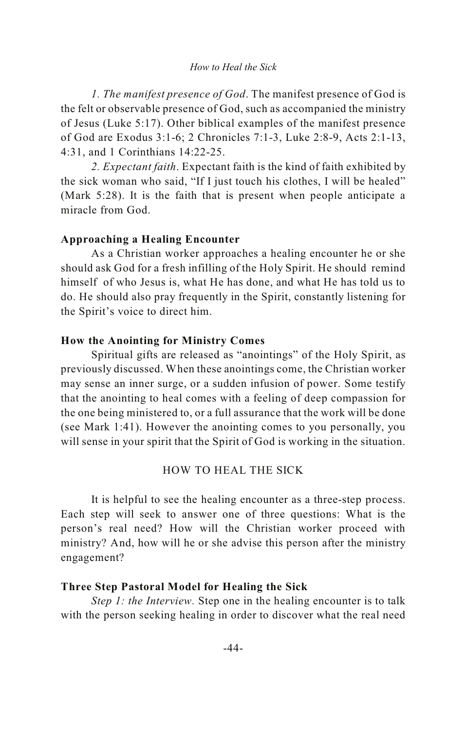#### *How to Heal the Sick*

*1. The manifest presence of God*. The manifest presence of God is the felt or observable presence of God, such as accompanied the ministry of Jesus (Luke 5:17). Other biblical examples of the manifest presence of God are Exodus 3:1-6; 2 Chronicles 7:1-3, Luke 2:8-9, Acts 2:1-13, 4:31, and 1 Corinthians 14:22-25.

*2. Expectant faith*. Expectant faith is the kind of faith exhibited by the sick woman who said, "If I just touch his clothes, I will be healed" (Mark 5:28). It is the faith that is present when people anticipate a miracle from God.

### **Approaching a Healing Encounter**

As a Christian worker approaches a healing encounter he or she should ask God for a fresh infilling of the Holy Spirit. He should remind himself of who Jesus is, what He has done, and what He has told us to do. He should also pray frequently in the Spirit, constantly listening for the Spirit's voice to direct him.

### **How the Anointing for Ministry Comes**

Spiritual gifts are released as "anointings" of the Holy Spirit, as previously discussed. When these anointings come, the Christian worker may sense an inner surge, or a sudden infusion of power. Some testify that the anointing to heal comes with a feeling of deep compassion for the one being ministered to, or a full assurance that the work will be done (see Mark 1:41). However the anointing comes to you personally, you will sense in your spirit that the Spirit of God is working in the situation.

### HOW TO HEAL THE SICK

It is helpful to see the healing encounter as a three-step process. Each step will seek to answer one of three questions: What is the person's real need? How will the Christian worker proceed with ministry? And, how will he or she advise this person after the ministry engagement?

#### **Three Step Pastoral Model for Healing the Sick**

*Step 1: the Interview.* Step one in the healing encounter is to talk with the person seeking healing in order to discover what the real need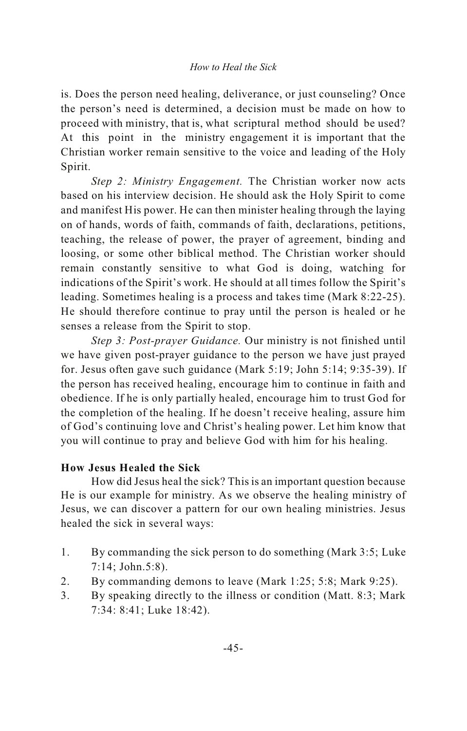is. Does the person need healing, deliverance, or just counseling? Once the person's need is determined, a decision must be made on how to proceed with ministry, that is, what scriptural method should be used? At this point in the ministry engagement it is important that the Christian worker remain sensitive to the voice and leading of the Holy Spirit.

*Step 2: Ministry Engagement.* The Christian worker now acts based on his interview decision. He should ask the Holy Spirit to come and manifest His power. He can then minister healing through the laying on of hands, words of faith, commands of faith, declarations, petitions, teaching, the release of power, the prayer of agreement, binding and loosing, or some other biblical method. The Christian worker should remain constantly sensitive to what God is doing, watching for indications of the Spirit's work. He should at all times follow the Spirit's leading. Sometimes healing is a process and takes time (Mark 8:22-25). He should therefore continue to pray until the person is healed or he senses a release from the Spirit to stop.

*Step 3: Post-prayer Guidance.* Our ministry is not finished until we have given post-prayer guidance to the person we have just prayed for. Jesus often gave such guidance (Mark 5:19; John 5:14; 9:35-39). If the person has received healing, encourage him to continue in faith and obedience. If he is only partially healed, encourage him to trust God for the completion of the healing. If he doesn't receive healing, assure him of God's continuing love and Christ's healing power. Let him know that you will continue to pray and believe God with him for his healing.

### **How Jesus Healed the Sick**

How did Jesus heal the sick? This is an important question because He is our example for ministry. As we observe the healing ministry of Jesus, we can discover a pattern for our own healing ministries. Jesus healed the sick in several ways:

- 1. By commanding the sick person to do something (Mark 3:5; Luke 7:14; John.5:8).
- 2. By commanding demons to leave (Mark 1:25; 5:8; Mark 9:25).
- 3. By speaking directly to the illness or condition (Matt. 8:3; Mark 7:34: 8:41; Luke 18:42).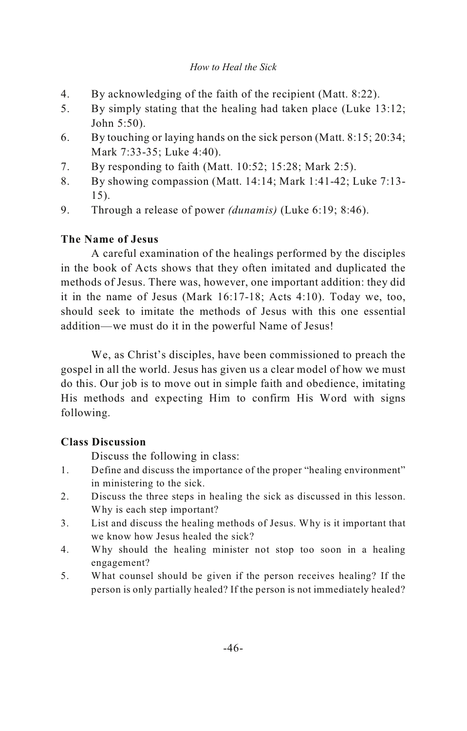### *How to Heal the Sick*

- 4. By acknowledging of the faith of the recipient (Matt. 8:22).
- 5. By simply stating that the healing had taken place (Luke 13:12; John 5:50).
- 6. By touching or laying hands on the sick person (Matt. 8:15; 20:34; Mark 7:33-35; Luke 4:40).
- 7. By responding to faith (Matt. 10:52; 15:28; Mark 2:5).
- 8. By showing compassion (Matt. 14:14; Mark 1:41-42; Luke 7:13- 15).
- 9. Through a release of power *(dunamis)* (Luke 6:19; 8:46).

### **The Name of Jesus**

A careful examination of the healings performed by the disciples in the book of Acts shows that they often imitated and duplicated the methods of Jesus. There was, however, one important addition: they did it in the name of Jesus (Mark 16:17-18; Acts 4:10). Today we, too, should seek to imitate the methods of Jesus with this one essential addition—we must do it in the powerful Name of Jesus!

We, as Christ's disciples, have been commissioned to preach the gospel in all the world. Jesus has given us a clear model of how we must do this. Our job is to move out in simple faith and obedience, imitating His methods and expecting Him to confirm His Word with signs following.

### **Class Discussion**

- 1. Define and discuss the importance of the proper "healing environment" in ministering to the sick.
- 2. Discuss the three steps in healing the sick as discussed in this lesson. Why is each step important?
- 3. List and discuss the healing methods of Jesus. Why is it important that we know how Jesus healed the sick?
- 4. Why should the healing minister not stop too soon in a healing engagement?
- 5. What counsel should be given if the person receives healing? If the person is only partially healed? If the person is not immediately healed?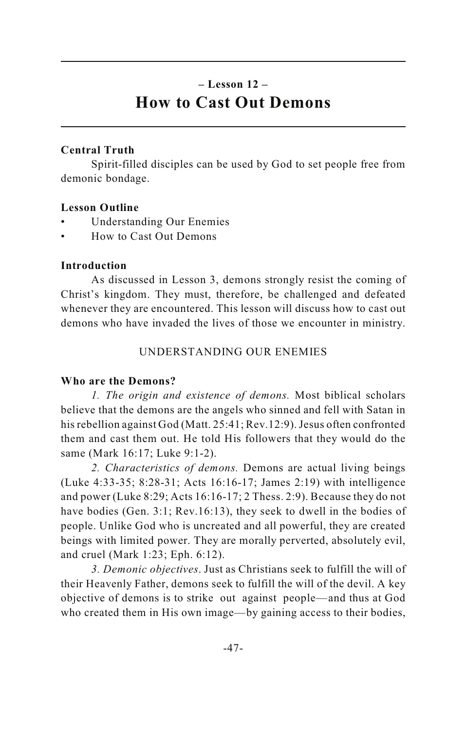### **– Lesson 12 – How to Cast Out Demons**

### **Central Truth**

Spirit-filled disciples can be used by God to set people free from demonic bondage.

### **Lesson Outline**

- Understanding Our Enemies
- How to Cast Out Demons

### **Introduction**

As discussed in Lesson 3, demons strongly resist the coming of Christ's kingdom. They must, therefore, be challenged and defeated whenever they are encountered. This lesson will discuss how to cast out demons who have invaded the lives of those we encounter in ministry.

### UNDERSTANDING OUR ENEMIES

### **Who are the Demons?**

*1. The origin and existence of demons.* Most biblical scholars believe that the demons are the angels who sinned and fell with Satan in his rebellion against God (Matt. 25:41; Rev.12:9). Jesus often confronted them and cast them out. He told His followers that they would do the same (Mark 16:17; Luke 9:1-2).

*2. Characteristics of demons.* Demons are actual living beings (Luke 4:33-35; 8:28-31; Acts 16:16-17; James 2:19) with intelligence and power (Luke 8:29; Acts 16:16-17; 2 Thess. 2:9). Because they do not have bodies (Gen. 3:1; Rev.16:13), they seek to dwell in the bodies of people. Unlike God who is uncreated and all powerful, they are created beings with limited power. They are morally perverted, absolutely evil, and cruel (Mark 1:23; Eph. 6:12).

*3. Demonic objectives*. Just as Christians seek to fulfill the will of their Heavenly Father, demons seek to fulfill the will of the devil. A key objective of demons is to strike out against people—and thus at God who created them in His own image—by gaining access to their bodies,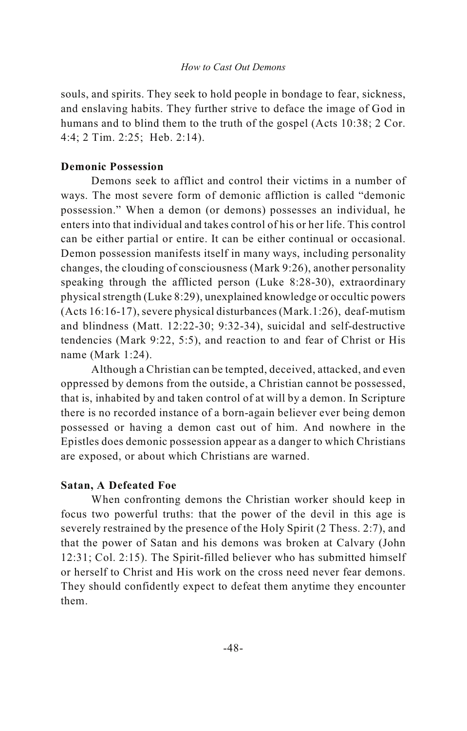souls, and spirits. They seek to hold people in bondage to fear, sickness, and enslaving habits. They further strive to deface the image of God in humans and to blind them to the truth of the gospel (Acts 10:38; 2 Cor. 4:4; 2 Tim. 2:25; Heb. 2:14).

### **Demonic Possession**

Demons seek to afflict and control their victims in a number of ways. The most severe form of demonic affliction is called "demonic possession." When a demon (or demons) possesses an individual, he enters into that individual and takes control of his or her life. This control can be either partial or entire. It can be either continual or occasional. Demon possession manifests itself in many ways, including personality changes, the clouding of consciousness (Mark 9:26), another personality speaking through the afflicted person (Luke 8:28-30), extraordinary physical strength (Luke 8:29), unexplained knowledge or occultic powers (Acts 16:16-17), severe physical disturbances (Mark.1:26), deaf-mutism and blindness (Matt. 12:22-30; 9:32-34), suicidal and self-destructive tendencies (Mark 9:22, 5:5), and reaction to and fear of Christ or His name (Mark 1:24).

Although a Christian can be tempted, deceived, attacked, and even oppressed by demons from the outside, a Christian cannot be possessed, that is, inhabited by and taken control of at will by a demon. In Scripture there is no recorded instance of a born-again believer ever being demon possessed or having a demon cast out of him. And nowhere in the Epistles does demonic possession appear as a danger to which Christians are exposed, or about which Christians are warned.

### **Satan, A Defeated Foe**

When confronting demons the Christian worker should keep in focus two powerful truths: that the power of the devil in this age is severely restrained by the presence of the Holy Spirit (2 Thess. 2:7), and that the power of Satan and his demons was broken at Calvary (John 12:31; Col. 2:15). The Spirit-filled believer who has submitted himself or herself to Christ and His work on the cross need never fear demons. They should confidently expect to defeat them anytime they encounter them.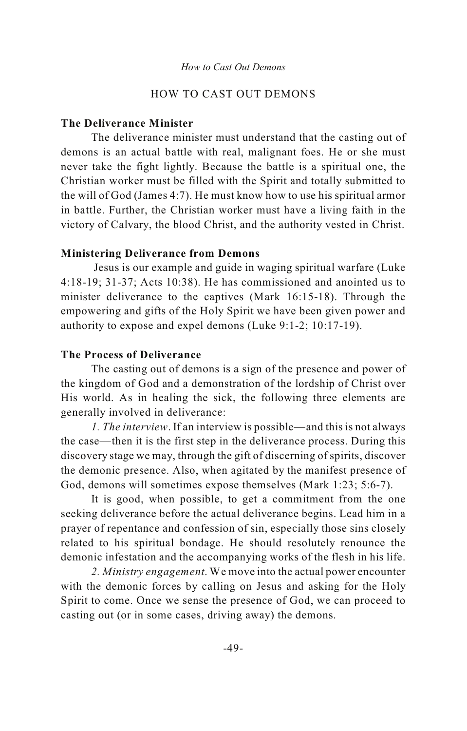### HOW TO CAST OUT DEMONS

### **The Deliverance Minister**

The deliverance minister must understand that the casting out of demons is an actual battle with real, malignant foes. He or she must never take the fight lightly. Because the battle is a spiritual one, the Christian worker must be filled with the Spirit and totally submitted to the will of God (James 4:7). He must know how to use his spiritual armor in battle. Further, the Christian worker must have a living faith in the victory of Calvary, the blood Christ, and the authority vested in Christ.

### **Ministering Deliverance from Demons**

 Jesus is our example and guide in waging spiritual warfare (Luke 4:18-19; 31-37; Acts 10:38). He has commissioned and anointed us to minister deliverance to the captives (Mark 16:15-18). Through the empowering and gifts of the Holy Spirit we have been given power and authority to expose and expel demons (Luke 9:1-2; 10:17-19).

### **The Process of Deliverance**

The casting out of demons is a sign of the presence and power of the kingdom of God and a demonstration of the lordship of Christ over His world. As in healing the sick, the following three elements are generally involved in deliverance:

*1. The interview*. If an interview is possible—and this is not always the case—then it is the first step in the deliverance process. During this discovery stage we may, through the gift of discerning of spirits, discover the demonic presence. Also, when agitated by the manifest presence of God, demons will sometimes expose themselves (Mark 1:23; 5:6-7).

It is good, when possible, to get a commitment from the one seeking deliverance before the actual deliverance begins. Lead him in a prayer of repentance and confession of sin, especially those sins closely related to his spiritual bondage. He should resolutely renounce the demonic infestation and the accompanying works of the flesh in his life.

*2. Ministry engagement*. We move into the actual power encounter with the demonic forces by calling on Jesus and asking for the Holy Spirit to come. Once we sense the presence of God, we can proceed to casting out (or in some cases, driving away) the demons.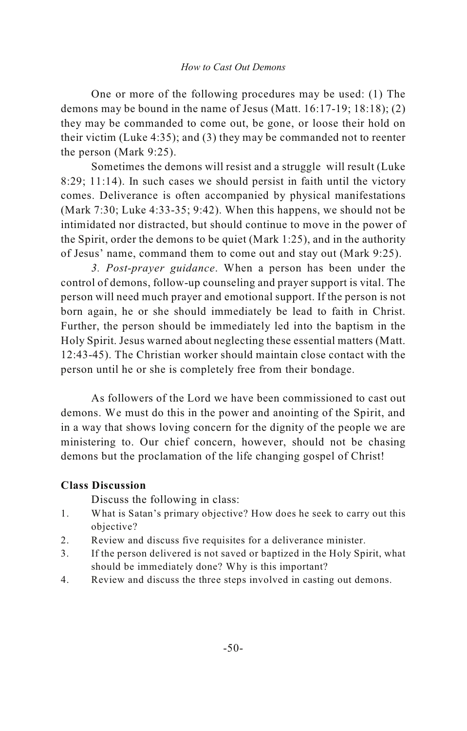#### *How to Cast Out Demons*

One or more of the following procedures may be used: (1) The demons may be bound in the name of Jesus (Matt. 16:17-19; 18:18); (2) they may be commanded to come out, be gone, or loose their hold on their victim (Luke 4:35); and (3) they may be commanded not to reenter the person (Mark 9:25).

Sometimes the demons will resist and a struggle will result (Luke 8:29; 11:14). In such cases we should persist in faith until the victory comes. Deliverance is often accompanied by physical manifestations (Mark 7:30; Luke 4:33-35; 9:42). When this happens, we should not be intimidated nor distracted, but should continue to move in the power of the Spirit, order the demons to be quiet (Mark 1:25), and in the authority of Jesus' name, command them to come out and stay out (Mark 9:25).

*3. Post-prayer guidance*. When a person has been under the control of demons, follow-up counseling and prayer support is vital. The person will need much prayer and emotional support. If the person is not born again, he or she should immediately be lead to faith in Christ. Further, the person should be immediately led into the baptism in the Holy Spirit. Jesus warned about neglecting these essential matters (Matt. 12:43-45). The Christian worker should maintain close contact with the person until he or she is completely free from their bondage.

As followers of the Lord we have been commissioned to cast out demons. We must do this in the power and anointing of the Spirit, and in a way that shows loving concern for the dignity of the people we are ministering to. Our chief concern, however, should not be chasing demons but the proclamation of the life changing gospel of Christ!

### **Class Discussion**

- 1. What is Satan's primary objective? How does he seek to carry out this objective?
- 2. Review and discuss five requisites for a deliverance minister.
- 3. If the person delivered is not saved or baptized in the Holy Spirit, what should be immediately done? Why is this important?
- 4. Review and discuss the three steps involved in casting out demons.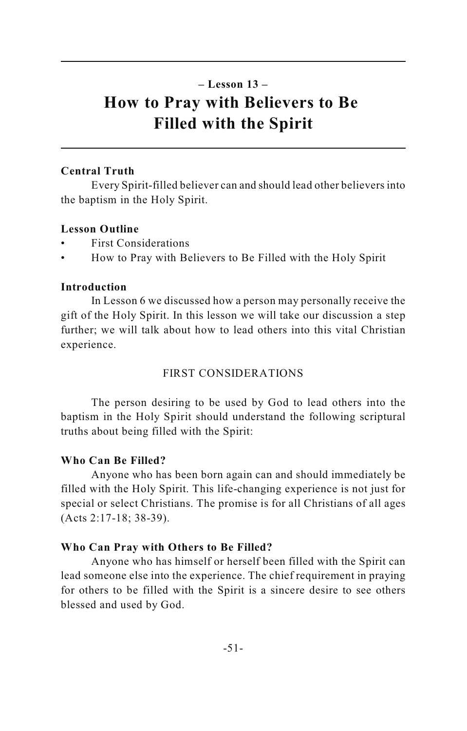### **– Lesson 13 – How to Pray with Believers to Be Filled with the Spirit**

### **Central Truth**

Every Spirit-filled believer can and should lead other believers into the baptism in the Holy Spirit.

### **Lesson Outline**

- First Considerations
- How to Pray with Believers to Be Filled with the Holy Spirit

### **Introduction**

In Lesson 6 we discussed how a person may personally receive the gift of the Holy Spirit. In this lesson we will take our discussion a step further; we will talk about how to lead others into this vital Christian experience.

### FIRST CONSIDERATIONS

The person desiring to be used by God to lead others into the baptism in the Holy Spirit should understand the following scriptural truths about being filled with the Spirit:

### **Who Can Be Filled?**

Anyone who has been born again can and should immediately be filled with the Holy Spirit. This life-changing experience is not just for special or select Christians. The promise is for all Christians of all ages (Acts 2:17-18; 38-39).

### **Who Can Pray with Others to Be Filled?**

Anyone who has himself or herself been filled with the Spirit can lead someone else into the experience. The chief requirement in praying for others to be filled with the Spirit is a sincere desire to see others blessed and used by God.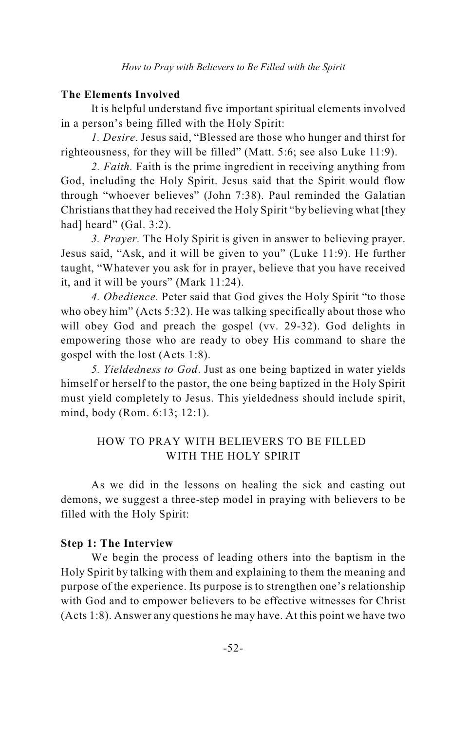### **The Elements Involved**

It is helpful understand five important spiritual elements involved in a person's being filled with the Holy Spirit:

*1. Desire*. Jesus said, "Blessed are those who hunger and thirst for righteousness, for they will be filled" (Matt. 5:6; see also Luke 11:9).

*2. Faith.* Faith is the prime ingredient in receiving anything from God, including the Holy Spirit. Jesus said that the Spirit would flow through "whoever believes" (John 7:38). Paul reminded the Galatian Christians that they had received the Holy Spirit "by believing what [they had] heard" (Gal. 3:2).

*3. Prayer.* The Holy Spirit is given in answer to believing prayer. Jesus said, "Ask, and it will be given to you" (Luke 11:9). He further taught, "Whatever you ask for in prayer, believe that you have received it, and it will be yours" (Mark 11:24).

*4. Obedience.* Peter said that God gives the Holy Spirit "to those who obey him" (Acts 5:32). He was talking specifically about those who will obey God and preach the gospel (vv. 29-32). God delights in empowering those who are ready to obey His command to share the gospel with the lost (Acts 1:8).

*5. Yieldedness to God*. Just as one being baptized in water yields himself or herself to the pastor, the one being baptized in the Holy Spirit must yield completely to Jesus. This yieldedness should include spirit, mind, body (Rom. 6:13; 12:1).

### HOW TO PRAY WITH BELIEVERS TO BE FILLED WITH THE HOLY SPIRIT

As we did in the lessons on healing the sick and casting out demons, we suggest a three-step model in praying with believers to be filled with the Holy Spirit:

### **Step 1: The Interview**

We begin the process of leading others into the baptism in the Holy Spirit by talking with them and explaining to them the meaning and purpose of the experience. Its purpose is to strengthen one's relationship with God and to empower believers to be effective witnesses for Christ (Acts 1:8). Answer any questions he may have. At this point we have two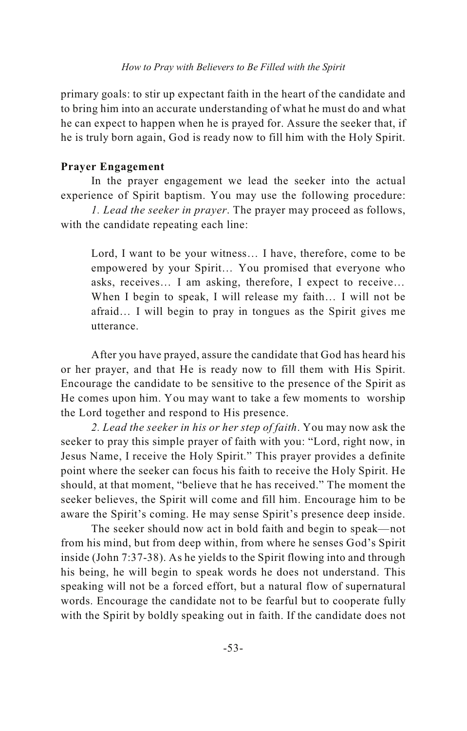primary goals: to stir up expectant faith in the heart of the candidate and to bring him into an accurate understanding of what he must do and what he can expect to happen when he is prayed for. Assure the seeker that, if he is truly born again, God is ready now to fill him with the Holy Spirit.

### **Prayer Engagement**

In the prayer engagement we lead the seeker into the actual experience of Spirit baptism. You may use the following procedure:

*1. Lead the seeker in prayer*. The prayer may proceed as follows, with the candidate repeating each line:

Lord, I want to be your witness… I have, therefore, come to be empowered by your Spirit… You promised that everyone who asks, receives… I am asking, therefore, I expect to receive… When I begin to speak, I will release my faith… I will not be afraid… I will begin to pray in tongues as the Spirit gives me utterance.

After you have prayed, assure the candidate that God has heard his or her prayer, and that He is ready now to fill them with His Spirit. Encourage the candidate to be sensitive to the presence of the Spirit as He comes upon him. You may want to take a few moments to worship the Lord together and respond to His presence.

*2. Lead the seeker in his or her step of faith*. You may now ask the seeker to pray this simple prayer of faith with you: "Lord, right now, in Jesus Name, I receive the Holy Spirit." This prayer provides a definite point where the seeker can focus his faith to receive the Holy Spirit. He should, at that moment, "believe that he has received." The moment the seeker believes, the Spirit will come and fill him. Encourage him to be aware the Spirit's coming. He may sense Spirit's presence deep inside.

The seeker should now act in bold faith and begin to speak—not from his mind, but from deep within, from where he senses God's Spirit inside (John 7:37-38). As he yields to the Spirit flowing into and through his being, he will begin to speak words he does not understand. This speaking will not be a forced effort, but a natural flow of supernatural words. Encourage the candidate not to be fearful but to cooperate fully with the Spirit by boldly speaking out in faith. If the candidate does not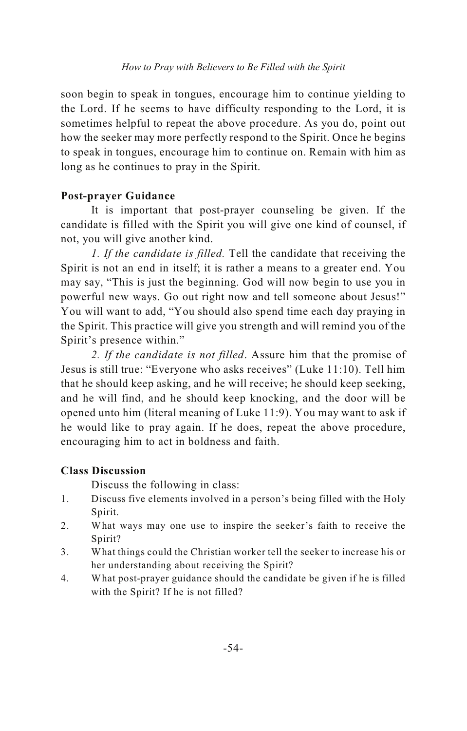soon begin to speak in tongues, encourage him to continue yielding to the Lord. If he seems to have difficulty responding to the Lord, it is sometimes helpful to repeat the above procedure. As you do, point out how the seeker may more perfectly respond to the Spirit. Once he begins to speak in tongues, encourage him to continue on. Remain with him as long as he continues to pray in the Spirit.

### **Post-prayer Guidance**

It is important that post-prayer counseling be given. If the candidate is filled with the Spirit you will give one kind of counsel, if not, you will give another kind.

*1. If the candidate is filled.* Tell the candidate that receiving the Spirit is not an end in itself; it is rather a means to a greater end. You may say, "This is just the beginning. God will now begin to use you in powerful new ways. Go out right now and tell someone about Jesus!" You will want to add, "You should also spend time each day praying in the Spirit. This practice will give you strength and will remind you of the Spirit's presence within."

*2. If the candidate is not filled*. Assure him that the promise of Jesus is still true: "Everyone who asks receives" (Luke 11:10). Tell him that he should keep asking, and he will receive; he should keep seeking, and he will find, and he should keep knocking, and the door will be opened unto him (literal meaning of Luke 11:9). You may want to ask if he would like to pray again. If he does, repeat the above procedure, encouraging him to act in boldness and faith.

### **Class Discussion**

- 1. Discuss five elements involved in a person's being filled with the Holy Spirit.
- 2. What ways may one use to inspire the seeker's faith to receive the Spirit?
- 3. What things could the Christian worker tell the seeker to increase his or her understanding about receiving the Spirit?
- 4. What post-prayer guidance should the candidate be given if he is filled with the Spirit? If he is not filled?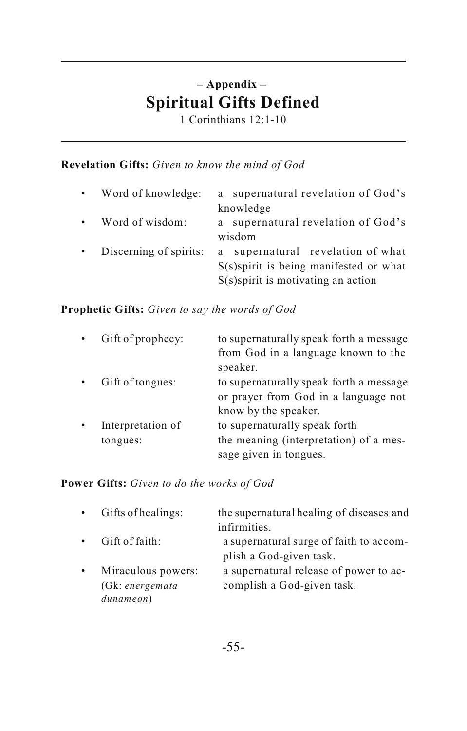### **– Appendix – Spiritual Gifts Defined**

1 Corinthians 12:1-10

### **Revelation Gifts:** *Given to know the mind of God*

| $\bullet$ | Word of knowledge:     | a supernatural revelation of God's        |
|-----------|------------------------|-------------------------------------------|
|           |                        | knowledge                                 |
| $\bullet$ | Word of wisdom:        | supernatural revelation of God's<br>a     |
|           |                        | wisdom                                    |
| $\bullet$ | Discerning of spirits: | supernatural revelation of what<br>a      |
|           |                        | $S(s)$ spirit is being manifested or what |
|           |                        | $S(s)$ spirit is motivating an action     |

**Prophetic Gifts:** *Given to say the words of God*

| Gift of prophecy: | to supernaturally speak forth a message |
|-------------------|-----------------------------------------|
|                   | from God in a language known to the     |
|                   | speaker.                                |
| Gift of tongues:  | to supernaturally speak forth a message |
|                   | or prayer from God in a language not    |
|                   | know by the speaker.                    |
| Interpretation of | to supernaturally speak forth           |
| tongues:          | the meaning (interpretation) of a mes-  |
|                   | sage given in tongues.                  |

### **Power Gifts:** *Given to do the works of God*

| $\bullet$ | Gifts of healings: | the supernatural healing of diseases and |
|-----------|--------------------|------------------------------------------|
|           |                    | infirmities.                             |
| $\bullet$ | Gift of faith:     | a supernatural surge of faith to accom-  |
|           |                    | plish a God-given task.                  |
| $\bullet$ | Miraculous powers: | a supernatural release of power to ac-   |
|           | (Gk: energemata    | complish a God-given task.               |
|           | dunameon)          |                                          |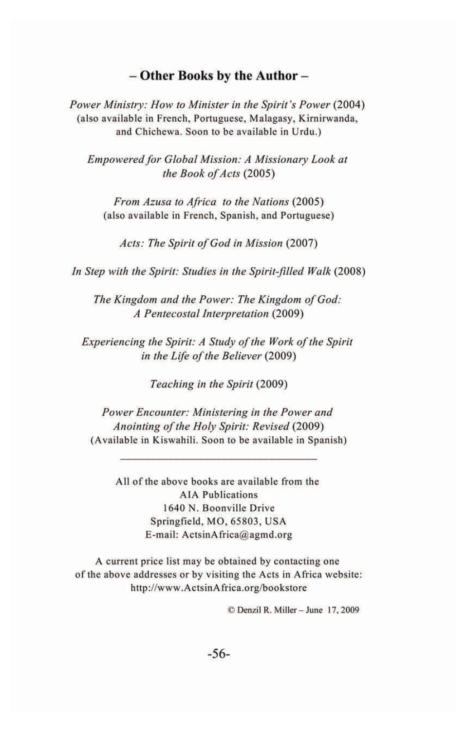### - Other Books by the Author-

Power Ministry: How to Minister in the Spirit's Power (2004) (also available in French, Portuguese, Malagasy, Kirnirwanda, and Chichewa. Soon to be available in Urdu.)

Empowered for Global Mission: A Missionary Look at the Book of Acts (2005)

From Azusa to Africa to the Nations (2005) (also available in French, Spanish, and Portuguese)

Acts: The Spirit of God in Mission (2007)

In Step with the Spirit: Studies in the Spirit-filled Walk (2008)

The Kingdom and the Power: The Kingdom of God: A Pentecostal Interpretation (2009)

Experiencing the Spirit: A Study of the Work of the Spirit in the Life of the Believer (2009)

Teaching in the Spirit (2009)

Power Encounter: Ministering in the Power and Anointing of the Holy Spirit: Revised (2009) (Available in Kiswahili. Soon to be available in Spanish)

All of the above books are available from the **AIA** Publications 1640 N. Boonville Drive Springfield, MO, 65803, USA E-mail: ActsinAfrica@agmd.org

A current price list may be obtained by contacting one of the above addresses or by visiting the Acts in Africa website: http://www.ActsinAfrica.org/bookstore

© Denzil R. Miller - June 17, 2009